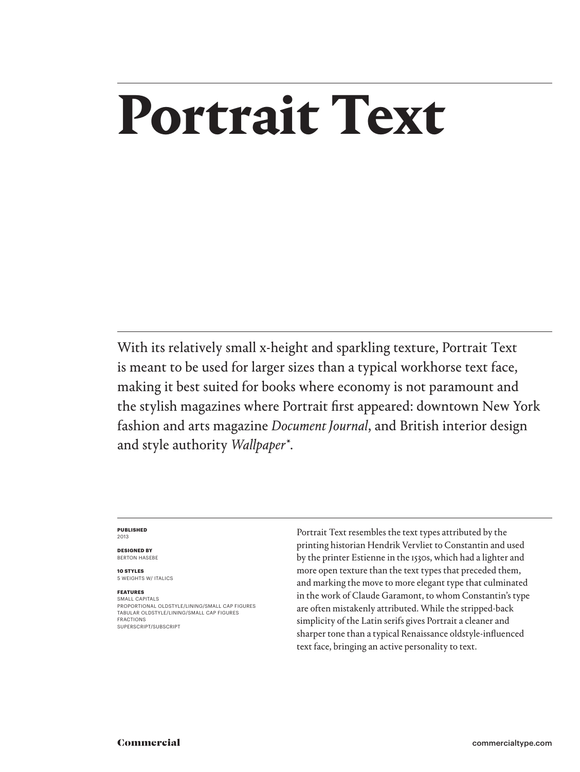# **Portrait Text**

With its relatively small x-height and sparkling texture, Portrait Text is meant to be used for larger sizes than a typical workhorse text face, making it best suited for books where economy is not paramount and the stylish magazines where Portrait first appeared: downtown New York fashion and arts magazine *Document Journal*, and British interior design and style authority *Wallpaper\**.

#### **PUBLISHED** 2013

**DESIGNED BY** BERTON HASEBE

**10 STYLES** 5 WEIGHTS W/ ITALICS

#### **FEATURES**

SMALL CAPITALS PROPORTIONAL OLDSTYLE/LINING/SMALL CAP FIGURES TABULAR OLDSTYLE/LINING/SMALL CAP FIGURES FRACTIONS SUPERSCRIPT/SUBSCRIPT

Portrait Text resembles the text types attributed by the printing historian Hendrik Vervliet to Constantin and used by the printer Estienne in the 1530s, which had a lighter and more open texture than the text types that preceded them, and marking the move to more elegant type that culminated in the work of Claude Garamont, to whom Constantin's type are often mistakenly attributed. While the stripped-back simplicity of the Latin serifs gives Portrait a cleaner and sharper tone than a typical Renaissance oldstyle-influenced text face, bringing an active personality to text.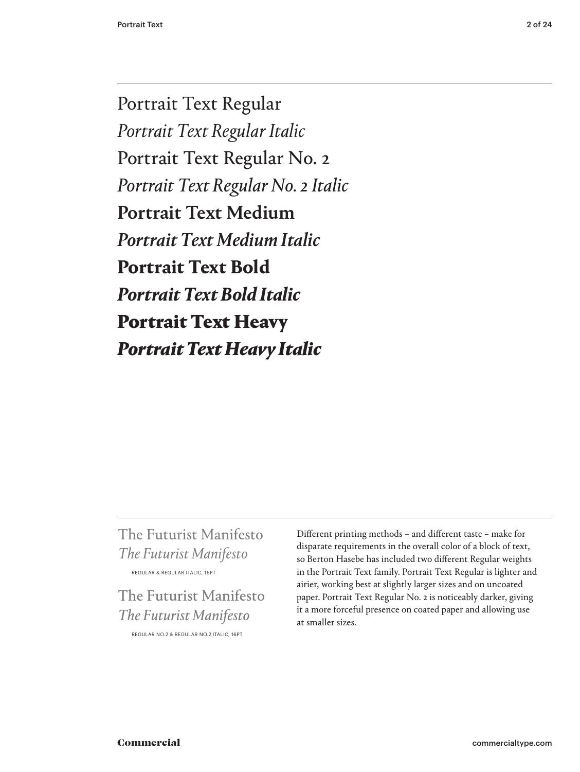Portrait Text Regular *Portrait Text Regular Italic* Portrait Text Regular No. 2 *Portrait Text Regular No. 2 Italic* Portrait Text Medium *Portrait Text Medium Italic* **Portrait Text Bold** *Portrait Text Bold Italic* Portrait Text Heavy *Portrait Text Heavy Italic*

# The Futurist Manifesto *The Futurist Manifesto*  REGULAR & REGULAR ITALIC, 16PT

# The Futurist Manifesto *The Futurist Manifesto* REGULAR NO.2 & REGULAR NO.2 ITALIC, 16PT

Different printing methods – and different taste – make for disparate requirements in the overall color of a block of text, so Berton Hasebe has included two different Regular weights in the Portrait Text family. Portrait Text Regular is lighter and airier, working best at slightly larger sizes and on uncoated paper. Portrait Text Regular No. 2 is noticeably darker, giving it a more forceful presence on coated paper and allowing use at smaller sizes.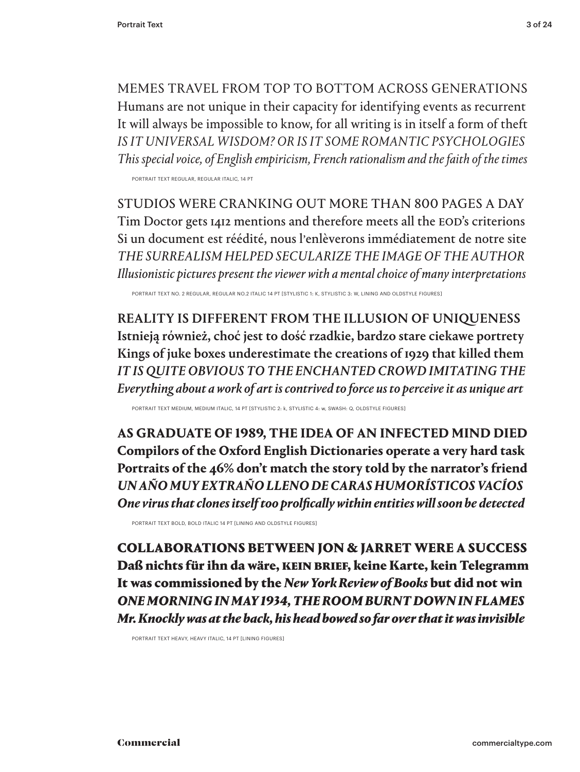MEMES TRAVEL FROM TOP TO BOTTOM ACROSS GENERATIONS Humans are not unique in their capacity for identifying events as recurrent It will always be impossible to know, for all writing is in itself a form of theft *IS IT UNIVERSAL WISDOM? OR IS IT SOME ROMANTIC PSYCHOLOGIES This special voice, of English empiricism, French rationalism and the faith of the times*

PORTRAIT TEXT REGULAR, REGULAR ITALIC, 14 PT

STUDIOS WERE CRANKING OUT MORE THAN 800 PAGES A DAY Tim Doctor gets 1412 mentions and therefore meets all the EOD's criterions Si un document est réédité, nous l'enlèverons immédiatement de notre site *THE SURREALISM HELPED SECULARIZE THE IMAGE OF THE AUTHOR Illusionistic pictures present the viewer with a mental choice of many interpretations*

PORTRAIT TEXT NO. 2 REGULAR, REGULAR NO.2 ITALIC 14 PT [STYLISTIC 1: K, STYLISTIC 3: W, LINING AND OLDSTYLE FIGURES]

REALITY IS DIFFERENT FROM THE ILLUSION OF UNIQUENESS Istnieją również, choć jest to dość rzadkie, bardzo stare ciekawe portrety Kings of juke boxes underestimate the creations of 1929 that killed them *IT IS QUITE OBVIOUS TO THE ENCHANTED CROWD IMITATING THE Everything about a work of art is contrived to force us to perceive it as unique art* 

PORTRAIT TEXT MEDIUM, MEDIUM ITALIC, 14 PT [STYLISTIC 2: k, STYLISTIC 4: w, SWASH: Q, OLDSTYLE FIGURES]

**AS GRADUATE OF 1989, THE IDEA OF AN INFECTED MIND DIED Compilors of the Oxford English Dictionaries operate a very hard task Portraits of the 46% don't match the story told by the narrator's friend** *UN AÑO MUY EXTRAÑO LLENO DE CARAS HUMORÍSTICOS VACÍOS One virus that clones itself too prolfically within entities will soon be detected*

PORTRAIT TEXT BOLD, BOLD ITALIC 14 PT [LINING AND OLDSTYLE FIGURES]

COLLABORATIONS BETWEEN JON & JARRET WERE A SUCCESS Daß nichts für ihn da wäre, KEIN BRIEF, keine Karte, kein Telegramm It was commissioned by the *New York Review of Books* but did not win *ONE MORNING IN MAY 1934, THE ROOM BURNT DOWN IN FLAMES Mr. Knockly was at the back, his head bowed so far over that it was invisible*

PORTRAIT TEXT HEAVY, HEAVY ITALIC, 14 PT [LINING FIGURES]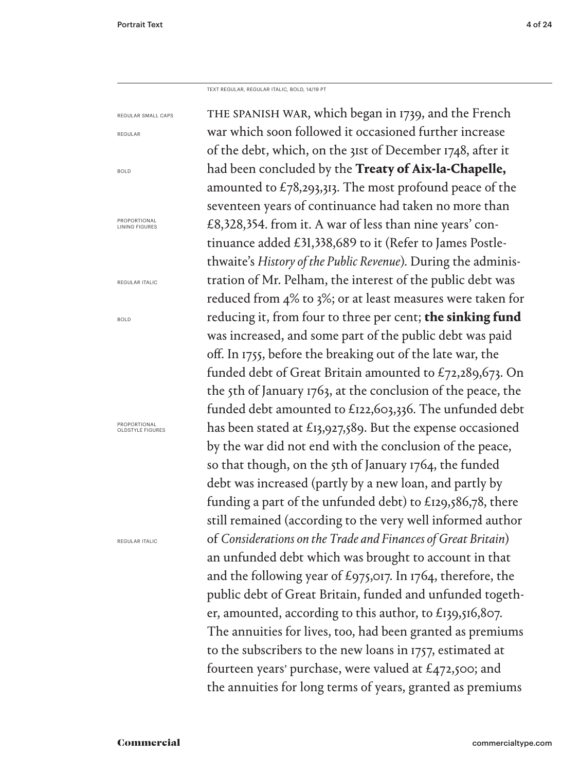REGULAR

BOLD

BOLD

TEXT REGULAR, REGULAR ITALIC, BOLD, 14/19 PT

THE SPANISH WAR, which began in 1739, and the French war which soon followed it occasioned further increase of the debt, which, on the 31st of December 1748, after it had been concluded by the **Treaty of Aix-la-Chapelle,**  amounted to  $\text{\textsterling}78,293,313$ . The most profound peace of the seventeen years of continuance had taken no more than £8,328,354. from it. A war of less than nine years' continuance added £31,338,689 to it (Refer to James Postlethwaite's *History of the Public Revenue*). During the administration of Mr. Pelham, the interest of the public debt was reduced from 4% to 3%; or at least measures were taken for reducing it, from four to three per cent; **the sinking fund** was increased, and some part of the public debt was paid off. In 1755, before the breaking out of the late war, the funded debt of Great Britain amounted to £72,289,673. On the 5th of January 1763, at the conclusion of the peace, the funded debt amounted to £122,603,336. The unfunded debt has been stated at £13,927,589. But the expense occasioned by the war did not end with the conclusion of the peace, so that though, on the 5th of January 1764, the funded debt was increased (partly by a new loan, and partly by funding a part of the unfunded debt) to £129,586,78, there still remained (according to the very well informed author of *Considerations on the Trade and Finances of Great Britain*) an unfunded debt which was brought to account in that and the following year of £975,017. In 1764, therefore, the public debt of Great Britain, funded and unfunded together, amounted, according to this author, to £139,516,807. The annuities for lives, too, had been granted as premiums to the subscribers to the new loans in 1757, estimated at fourteen years' purchase, were valued at  $£472,500$ ; and the annuities for long terms of years, granted as premiums REGULAR SMALL CAPS PROPORTIONAL<br>LINING FIGURES REGULAR ITALIC PROPORTIONAL OLDSTYLE FIGURES REGULAR ITALIC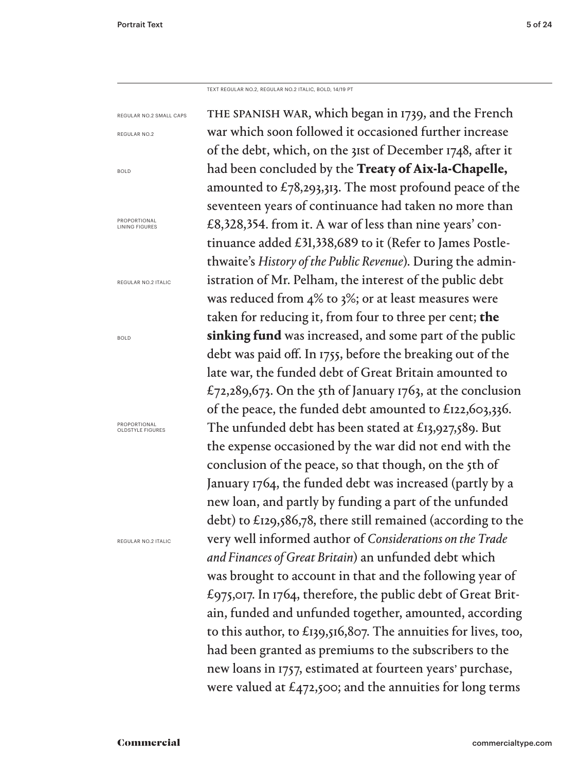BOLD

BOLD

TEXT REGULAR NO.2, REGULAR NO.2 ITALIC, BOLD, 14/19 PT

the spanish war, which began in 1739, and the French war which soon followed it occasioned further increase of the debt, which, on the 31st of December 1748, after it had been concluded by the **Treaty of Aix-la-Chapelle,**  amounted to  $\text{\textsterling}78,293,313$ . The most profound peace of the seventeen years of continuance had taken no more than £8,328,354. from it. A war of less than nine years' continuance added £31,338,689 to it (Refer to James Postlethwaite's *History of the Public Revenue*). During the administration of Mr. Pelham, the interest of the public debt was reduced from 4% to 3%; or at least measures were taken for reducing it, from four to three per cent; **the sinking fund** was increased, and some part of the public debt was paid off. In 1755, before the breaking out of the late war, the funded debt of Great Britain amounted to £72,289,673. On the 5th of January 1763, at the conclusion of the peace, the funded debt amounted to £122,603,336. The unfunded debt has been stated at £13,927,589. But the expense occasioned by the war did not end with the conclusion of the peace, so that though, on the 5th of January 1764, the funded debt was increased (partly by a new loan, and partly by funding a part of the unfunded debt) to £129,586,78, there still remained (according to the very well informed author of *Considerations on the Trade and Finances of Great Britain*) an unfunded debt which was brought to account in that and the following year of £975,017. In 1764, therefore, the public debt of Great Britain, funded and unfunded together, amounted, according to this author, to £139,516,807. The annuities for lives, too, had been granted as premiums to the subscribers to the new loans in 1757, estimated at fourteen years' purchase, were valued at  $\mathcal{L}_{472,500}$ ; and the annuities for long terms REGULAR NO.2 SMALL CAPS REGULAR NO.2 PROPORTIONAL<br>LINING FIGURES REGULAR NO.2 ITALIC PROPORTIONAL OLDSTYLE FIGURES REGULAR NO.2 ITALIC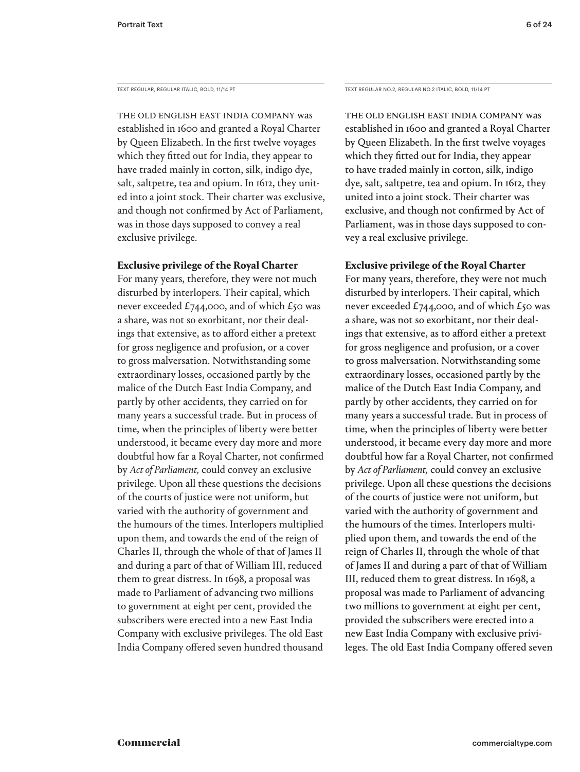The old English East India Company was established in 1600 and granted a Royal Charter by Queen Elizabeth. In the first twelve voyages which they fitted out for India, they appear to have traded mainly in cotton, silk, indigo dye, salt, saltpetre, tea and opium. In 1612, they united into a joint stock. Their charter was exclusive, and though not confirmed by Act of Parliament, was in those days supposed to convey a real exclusive privilege.

#### **Exclusive privilege of the Royal Charter**

For many years, therefore, they were not much disturbed by interlopers. Their capital, which never exceeded £744,000, and of which £50 was a share, was not so exorbitant, nor their dealings that extensive, as to afford either a pretext for gross negligence and profusion, or a cover to gross malversation. Notwithstanding some extraordinary losses, occasioned partly by the malice of the Dutch East India Company, and partly by other accidents, they carried on for many years a successful trade. But in process of time, when the principles of liberty were better understood, it became every day more and more doubtful how far a Royal Charter, not confirmed by *Act of Parliament,* could convey an exclusive privilege. Upon all these questions the decisions of the courts of justice were not uniform, but varied with the authority of government and the humours of the times. Interlopers multiplied upon them, and towards the end of the reign of Charles II, through the whole of that of James II and during a part of that of William III, reduced them to great distress. In 1698, a proposal was made to Parliament of advancing two millions to government at eight per cent, provided the subscribers were erected into a new East India Company with exclusive privileges. The old East India Company offered seven hundred thousand

TEXT REGULAR, REGULAR ITALIC, BOLD, 11/14 PT TEXT REGULAR NO.2, REGULAR NO.2 ITALIC, BOLD, 11/14 PT

The old English East India Company was established in 1600 and granted a Royal Charter by Queen Elizabeth. In the first twelve voyages which they fitted out for India, they appear to have traded mainly in cotton, silk, indigo dye, salt, saltpetre, tea and opium. In 1612, they united into a joint stock. Their charter was exclusive, and though not confirmed by Act of Parliament, was in those days supposed to convey a real exclusive privilege.

## **Exclusive privilege of the Royal Charter**

For many years, therefore, they were not much disturbed by interlopers. Their capital, which never exceeded £744,000, and of which £50 was a share, was not so exorbitant, nor their dealings that extensive, as to afford either a pretext for gross negligence and profusion, or a cover to gross malversation. Notwithstanding some extraordinary losses, occasioned partly by the malice of the Dutch East India Company, and partly by other accidents, they carried on for many years a successful trade. But in process of time, when the principles of liberty were better understood, it became every day more and more doubtful how far a Royal Charter, not confirmed by *Act of Parliament,* could convey an exclusive privilege. Upon all these questions the decisions of the courts of justice were not uniform, but varied with the authority of government and the humours of the times. Interlopers multiplied upon them, and towards the end of the reign of Charles II, through the whole of that of James II and during a part of that of William III, reduced them to great distress. In 1698, a proposal was made to Parliament of advancing two millions to government at eight per cent, provided the subscribers were erected into a new East India Company with exclusive privileges. The old East India Company offered seven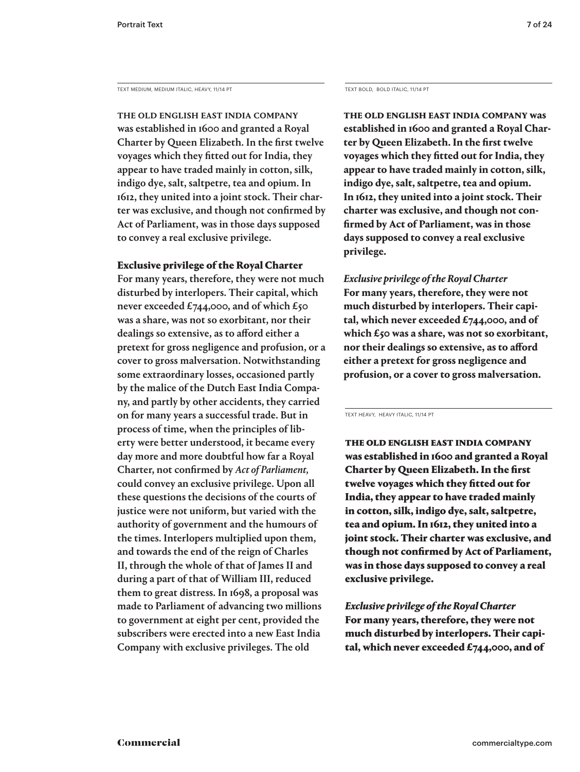TEXT MEDIUM, MEDIUM ITALIC, HEAVY, 11/14 PT

The old English East India Company was established in 1600 and granted a Royal Charter by Queen Elizabeth. In the first twelve voyages which they fitted out for India, they appear to have traded mainly in cotton, silk, indigo dye, salt, saltpetre, tea and opium. In 1612, they united into a joint stock. Their charter was exclusive, and though not confirmed by Act of Parliament, was in those days supposed to convey a real exclusive privilege.

## Exclusive privilege of the Royal Charter

For many years, therefore, they were not much disturbed by interlopers. Their capital, which never exceeded £744,000, and of which £50 was a share, was not so exorbitant, nor their dealings so extensive, as to afford either a pretext for gross negligence and profusion, or a cover to gross malversation. Notwithstanding some extraordinary losses, occasioned partly by the malice of the Dutch East India Company, and partly by other accidents, they carried on for many years a successful trade. But in process of time, when the principles of liberty were better understood, it became every day more and more doubtful how far a Royal Charter, not confirmed by *Act of Parliament,*  could convey an exclusive privilege. Upon all these questions the decisions of the courts of justice were not uniform, but varied with the authority of government and the humours of the times. Interlopers multiplied upon them, and towards the end of the reign of Charles II, through the whole of that of James II and during a part of that of William III, reduced them to great distress. In 1698, a proposal was made to Parliament of advancing two millions to government at eight per cent, provided the subscribers were erected into a new East India Company with exclusive privileges. The old

TEXT BOLD, BOLD ITALIC, 11/14 PT

**The old English East India Company was established in 1600 and granted a Royal Charter by Queen Elizabeth. In the first twelve voyages which they fitted out for India, they appear to have traded mainly in cotton, silk, indigo dye, salt, saltpetre, tea and opium. In 1612, they united into a joint stock. Their charter was exclusive, and though not confirmed by Act of Parliament, was in those days supposed to convey a real exclusive privilege.** 

*Exclusive privilege of the Royal Charter* **For many years, therefore, they were not much disturbed by interlopers. Their capital, which never exceeded £744,000, and of which £50 was a share, was not so exorbitant, nor their dealings so extensive, as to afford either a pretext for gross negligence and profusion, or a cover to gross malversation.** 

TEXT HEAVY, HEAVY ITALIC, 11/14 PT

The old English East India Company was established in 1600 and granted a Royal Charter by Queen Elizabeth. In the first twelve voyages which they fitted out for India, they appear to have traded mainly in cotton, silk, indigo dye, salt, saltpetre, tea and opium. In 1612, they united into a joint stock. Their charter was exclusive, and though not confirmed by Act of Parliament, was in those days supposed to convey a real exclusive privilege.

*Exclusive privilege of the Royal Charter* For many years, therefore, they were not much disturbed by interlopers. Their capital, which never exceeded  $£744,000,$  and of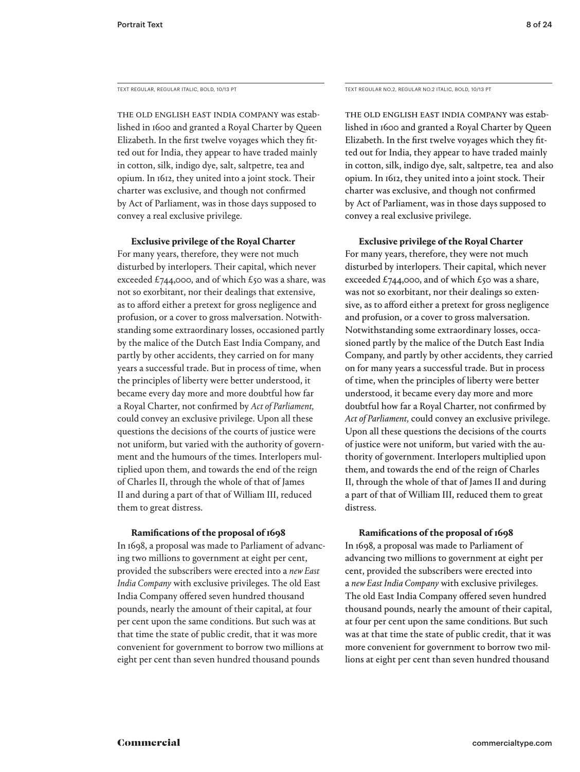TEXT REGULAR, REGULAR ITALIC, BOLD, 10/13 PT TEXT REGULAR NO.2, REGULAR NO.2 ITALIC, BOLD, 10/13 PT

The old English East India Company was established in 1600 and granted a Royal Charter by Queen Elizabeth. In the first twelve voyages which they fitted out for India, they appear to have traded mainly in cotton, silk, indigo dye, salt, saltpetre, tea and opium. In 1612, they united into a joint stock. Their charter was exclusive, and though not confirmed by Act of Parliament, was in those days supposed to convey a real exclusive privilege.

**Exclusive privilege of the Royal Charter**

For many years, therefore, they were not much disturbed by interlopers. Their capital, which never exceeded £744,000, and of which £50 was a share, was not so exorbitant, nor their dealings that extensive, as to afford either a pretext for gross negligence and profusion, or a cover to gross malversation. Notwithstanding some extraordinary losses, occasioned partly by the malice of the Dutch East India Company, and partly by other accidents, they carried on for many years a successful trade. But in process of time, when the principles of liberty were better understood, it became every day more and more doubtful how far a Royal Charter, not confirmed by *Act of Parliament,* could convey an exclusive privilege. Upon all these questions the decisions of the courts of justice were not uniform, but varied with the authority of government and the humours of the times. Interlopers multiplied upon them, and towards the end of the reign of Charles II, through the whole of that of James II and during a part of that of William III, reduced them to great distress.

#### **Ramifications of the proposal of 1698**

In 1698, a proposal was made to Parliament of advancing two millions to government at eight per cent, provided the subscribers were erected into a *new East India Company* with exclusive privileges. The old East India Company offered seven hundred thousand pounds, nearly the amount of their capital, at four per cent upon the same conditions. But such was at that time the state of public credit, that it was more convenient for government to borrow two millions at eight per cent than seven hundred thousand pounds

The old English East India Company was established in 1600 and granted a Royal Charter by Queen Elizabeth. In the first twelve voyages which they fitted out for India, they appear to have traded mainly in cotton, silk, indigo dye, salt, saltpetre, tea and also opium. In 1612, they united into a joint stock. Their charter was exclusive, and though not confirmed by Act of Parliament, was in those days supposed to convey a real exclusive privilege.

**Exclusive privilege of the Royal Charter**

For many years, therefore, they were not much disturbed by interlopers. Their capital, which never exceeded £744,000, and of which £50 was a share, was not so exorbitant, nor their dealings so extensive, as to afford either a pretext for gross negligence and profusion, or a cover to gross malversation. Notwithstanding some extraordinary losses, occasioned partly by the malice of the Dutch East India Company, and partly by other accidents, they carried on for many years a successful trade. But in process of time, when the principles of liberty were better understood, it became every day more and more doubtful how far a Royal Charter, not confirmed by *Act of Parliament,* could convey an exclusive privilege. Upon all these questions the decisions of the courts of justice were not uniform, but varied with the authority of government. Interlopers multiplied upon them, and towards the end of the reign of Charles II, through the whole of that of James II and during a part of that of William III, reduced them to great distress.

#### **Ramifications of the proposal of 1698**

In 1698, a proposal was made to Parliament of advancing two millions to government at eight per cent, provided the subscribers were erected into a *new East India Company* with exclusive privileges. The old East India Company offered seven hundred thousand pounds, nearly the amount of their capital, at four per cent upon the same conditions. But such was at that time the state of public credit, that it was more convenient for government to borrow two millions at eight per cent than seven hundred thousand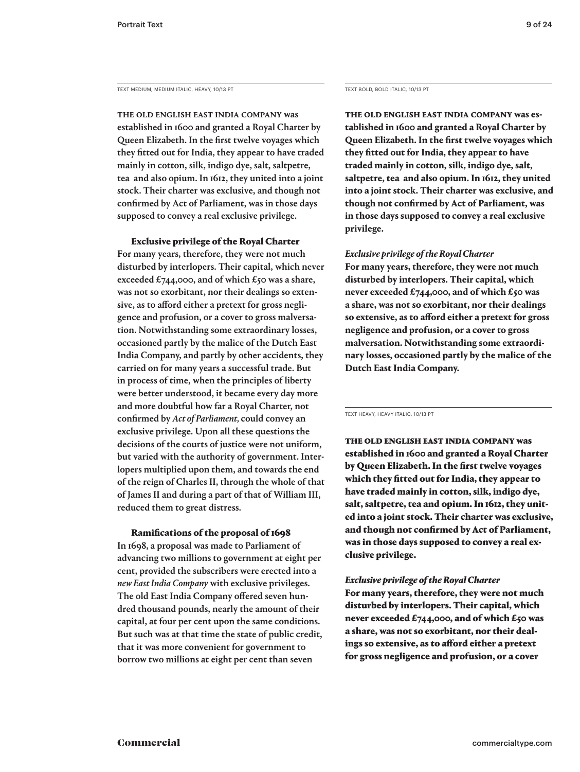TEXT MEDIUM, MEDIUM ITALIC, HEAVY, 10/13 PT TEXT BOLD, BOLD ITALIC, 10/13 PT

The old English East India Company was established in 1600 and granted a Royal Charter by Queen Elizabeth. In the first twelve voyages which they fitted out for India, they appear to have traded mainly in cotton, silk, indigo dye, salt, saltpetre, tea and also opium. In 1612, they united into a joint stock. Their charter was exclusive, and though not confirmed by Act of Parliament, was in those days supposed to convey a real exclusive privilege.

Exclusive privilege of the Royal Charter

For many years, therefore, they were not much disturbed by interlopers. Their capital, which never exceeded £744,000, and of which £50 was a share, was not so exorbitant, nor their dealings so extensive, as to afford either a pretext for gross negligence and profusion, or a cover to gross malversation. Notwithstanding some extraordinary losses, occasioned partly by the malice of the Dutch East India Company, and partly by other accidents, they carried on for many years a successful trade. But in process of time, when the principles of liberty were better understood, it became every day more and more doubtful how far a Royal Charter, not confirmed by *Act of Parliament,* could convey an exclusive privilege. Upon all these questions the decisions of the courts of justice were not uniform, but varied with the authority of government. Interlopers multiplied upon them, and towards the end of the reign of Charles II, through the whole of that of James II and during a part of that of William III, reduced them to great distress.

#### Ramifications of the proposal of 1698

In 1698, a proposal was made to Parliament of advancing two millions to government at eight per cent, provided the subscribers were erected into a *new East India Company* with exclusive privileges. The old East India Company offered seven hundred thousand pounds, nearly the amount of their capital, at four per cent upon the same conditions. But such was at that time the state of public credit, that it was more convenient for government to borrow two millions at eight per cent than seven

**The old English East India Company was established in 1600 and granted a Royal Charter by Queen Elizabeth. In the first twelve voyages which they fitted out for India, they appear to have traded mainly in cotton, silk, indigo dye, salt, saltpetre, tea and also opium. In 1612, they united into a joint stock. Their charter was exclusive, and though not confirmed by Act of Parliament, was in those days supposed to convey a real exclusive privilege.** 

#### *Exclusive privilege of the Royal Charter*

**For many years, therefore, they were not much disturbed by interlopers. Their capital, which never exceeded £744,000, and of which £50 was a share, was not so exorbitant, nor their dealings so extensive, as to afford either a pretext for gross negligence and profusion, or a cover to gross malversation. Notwithstanding some extraordinary losses, occasioned partly by the malice of the Dutch East India Company.**

TEXT HEAVY, HEAVY ITALIC, 10/13 PT

The old English East India Company was established in 1600 and granted a Royal Charter by Queen Elizabeth. In the first twelve voyages which they fitted out for India, they appear to have traded mainly in cotton, silk, indigo dye, salt, saltpetre, tea and opium. In 1612, they united into a joint stock. Their charter was exclusive, and though not confirmed by Act of Parliament, was in those days supposed to convey a real exclusive privilege.

## *Exclusive privilege of the Royal Charter*

For many years, therefore, they were not much disturbed by interlopers. Their capital, which never exceeded £744,000, and of which £50 was a share, was not so exorbitant, nor their dealings so extensive, as to afford either a pretext for gross negligence and profusion, or a cover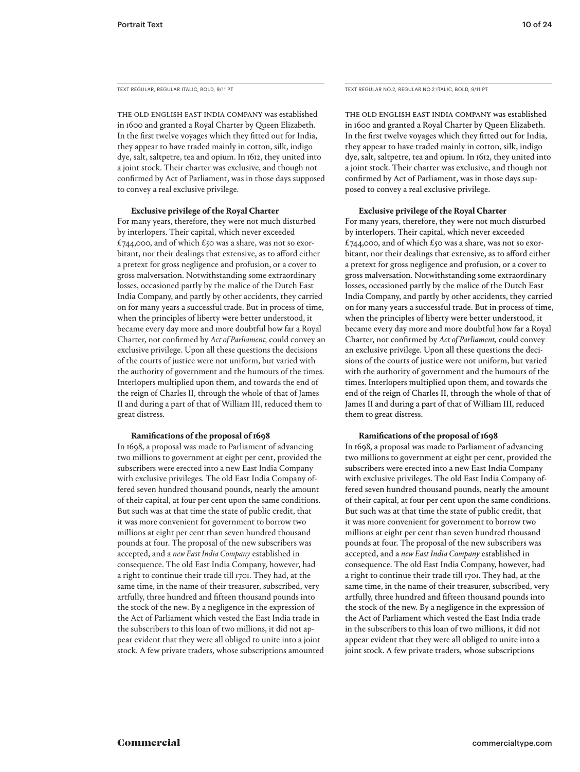TEXT REGULAR, REGULAR ITALIC, BOLD, 9/11 PT

The old English East India Company was established in 1600 and granted a Royal Charter by Queen Elizabeth. In the first twelve voyages which they fitted out for India, they appear to have traded mainly in cotton, silk, indigo dye, salt, saltpetre, tea and opium. In 1612, they united into a joint stock. Their charter was exclusive, and though not confirmed by Act of Parliament, was in those days supposed to convey a real exclusive privilege.

#### **Exclusive privilege of the Royal Charter**

For many years, therefore, they were not much disturbed by interlopers. Their capital, which never exceeded £744,000, and of which £50 was a share, was not so exorbitant, nor their dealings that extensive, as to afford either a pretext for gross negligence and profusion, or a cover to gross malversation. Notwithstanding some extraordinary losses, occasioned partly by the malice of the Dutch East India Company, and partly by other accidents, they carried on for many years a successful trade. But in process of time, when the principles of liberty were better understood, it became every day more and more doubtful how far a Royal Charter, not confirmed by *Act of Parliament,* could convey an exclusive privilege. Upon all these questions the decisions of the courts of justice were not uniform, but varied with the authority of government and the humours of the times. Interlopers multiplied upon them, and towards the end of the reign of Charles II, through the whole of that of James II and during a part of that of William III, reduced them to great distress.

#### **Ramifications of the proposal of 1698**

In 1698, a proposal was made to Parliament of advancing two millions to government at eight per cent, provided the subscribers were erected into a new East India Company with exclusive privileges. The old East India Company offered seven hundred thousand pounds, nearly the amount of their capital, at four per cent upon the same conditions. But such was at that time the state of public credit, that it was more convenient for government to borrow two millions at eight per cent than seven hundred thousand pounds at four. The proposal of the new subscribers was accepted, and a *new East India Company* established in consequence. The old East India Company, however, had a right to continue their trade till 1701. They had, at the same time, in the name of their treasurer, subscribed, very artfully, three hundred and fifteen thousand pounds into the stock of the new. By a negligence in the expression of the Act of Parliament which vested the East India trade in the subscribers to this loan of two millions, it did not appear evident that they were all obliged to unite into a joint stock. A few private traders, whose subscriptions amounted TEXT REGULAR NO.2, REGULAR NO.2 ITALIC, BOLD, 9/11 PT

The old English East India Company was established in 1600 and granted a Royal Charter by Queen Elizabeth. In the first twelve voyages which they fitted out for India, they appear to have traded mainly in cotton, silk, indigo dye, salt, saltpetre, tea and opium. In 1612, they united into a joint stock. Their charter was exclusive, and though not confirmed by Act of Parliament, was in those days supposed to convey a real exclusive privilege.

#### **Exclusive privilege of the Royal Charter**

For many years, therefore, they were not much disturbed by interlopers. Their capital, which never exceeded £744,000, and of which £50 was a share, was not so exorbitant, nor their dealings that extensive, as to afford either a pretext for gross negligence and profusion, or a cover to gross malversation. Notwithstanding some extraordinary losses, occasioned partly by the malice of the Dutch East India Company, and partly by other accidents, they carried on for many years a successful trade. But in process of time, when the principles of liberty were better understood, it became every day more and more doubtful how far a Royal Charter, not confirmed by *Act of Parliament,* could convey an exclusive privilege. Upon all these questions the decisions of the courts of justice were not uniform, but varied with the authority of government and the humours of the times. Interlopers multiplied upon them, and towards the end of the reign of Charles II, through the whole of that of James II and during a part of that of William III, reduced them to great distress.

#### **Ramifications of the proposal of 1698**

In 1698, a proposal was made to Parliament of advancing two millions to government at eight per cent, provided the subscribers were erected into a new East India Company with exclusive privileges. The old East India Company offered seven hundred thousand pounds, nearly the amount of their capital, at four per cent upon the same conditions. But such was at that time the state of public credit, that it was more convenient for government to borrow two millions at eight per cent than seven hundred thousand pounds at four. The proposal of the new subscribers was accepted, and a *new East India Company* established in consequence. The old East India Company, however, had a right to continue their trade till 1701. They had, at the same time, in the name of their treasurer, subscribed, very artfully, three hundred and fifteen thousand pounds into the stock of the new. By a negligence in the expression of the Act of Parliament which vested the East India trade in the subscribers to this loan of two millions, it did not appear evident that they were all obliged to unite into a joint stock. A few private traders, whose subscriptions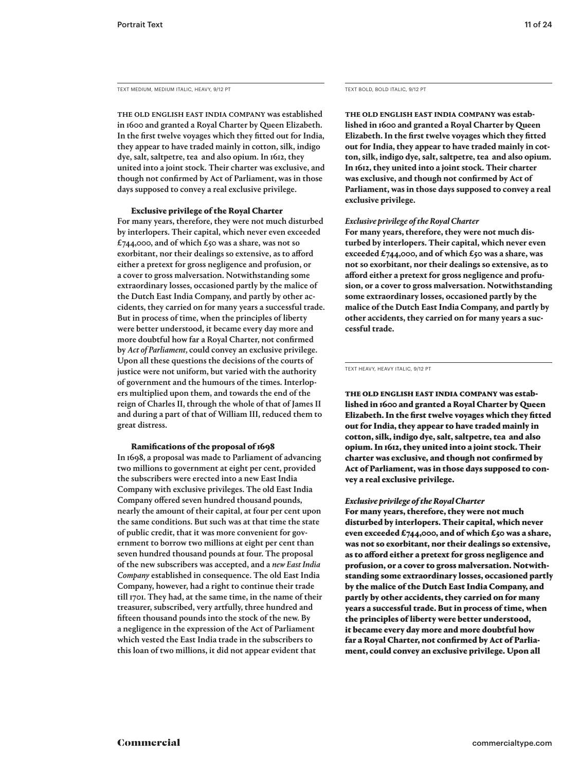TEXT MEDIUM, MEDIUM ITALIC, HEAVY, 9/12 PT

The old English East India Company was established in 1600 and granted a Royal Charter by Queen Elizabeth. In the first twelve voyages which they fitted out for India, they appear to have traded mainly in cotton, silk, indigo dye, salt, saltpetre, tea and also opium. In 1612, they united into a joint stock. Their charter was exclusive, and though not confirmed by Act of Parliament, was in those days supposed to convey a real exclusive privilege.

#### Exclusive privilege of the Royal Charter

For many years, therefore, they were not much disturbed by interlopers. Their capital, which never even exceeded £744,000, and of which £50 was a share, was not so exorbitant, nor their dealings so extensive, as to afford either a pretext for gross negligence and profusion, or a cover to gross malversation. Notwithstanding some extraordinary losses, occasioned partly by the malice of the Dutch East India Company, and partly by other accidents, they carried on for many years a successful trade. But in process of time, when the principles of liberty were better understood, it became every day more and more doubtful how far a Royal Charter, not confirmed by *Act of Parliament,* could convey an exclusive privilege. Upon all these questions the decisions of the courts of justice were not uniform, but varied with the authority of government and the humours of the times. Interlopers multiplied upon them, and towards the end of the reign of Charles II, through the whole of that of James II and during a part of that of William III, reduced them to great distress.

#### Ramifications of the proposal of 1698

In 1698, a proposal was made to Parliament of advancing two millions to government at eight per cent, provided the subscribers were erected into a new East India Company with exclusive privileges. The old East India Company offered seven hundred thousand pounds, nearly the amount of their capital, at four per cent upon the same conditions. But such was at that time the state of public credit, that it was more convenient for government to borrow two millions at eight per cent than seven hundred thousand pounds at four. The proposal of the new subscribers was accepted, and a *new East India Company* established in consequence. The old East India Company, however, had a right to continue their trade till 1701. They had, at the same time, in the name of their treasurer, subscribed, very artfully, three hundred and fifteen thousand pounds into the stock of the new. By a negligence in the expression of the Act of Parliament which vested the East India trade in the subscribers to this loan of two millions, it did not appear evident that

TEXT BOLD, BOLD ITALIC, 9/12 PT

**The old English East India Company was established in 1600 and granted a Royal Charter by Queen Elizabeth. In the first twelve voyages which they fitted out for India, they appear to have traded mainly in cotton, silk, indigo dye, salt, saltpetre, tea and also opium. In 1612, they united into a joint stock. Their charter was exclusive, and though not confirmed by Act of Parliament, was in those days supposed to convey a real exclusive privilege.** 

#### *Exclusive privilege of the Royal Charter*

**For many years, therefore, they were not much disturbed by interlopers. Their capital, which never even exceeded £744,000, and of which £50 was a share, was not so exorbitant, nor their dealings so extensive, as to afford either a pretext for gross negligence and profusion, or a cover to gross malversation. Notwithstanding some extraordinary losses, occasioned partly by the malice of the Dutch East India Company, and partly by other accidents, they carried on for many years a successful trade.**

TEXT HEAVY, HEAVY ITALIC, 9/12 PT

The old English East India Company was established in 1600 and granted a Royal Charter by Queen Elizabeth. In the first twelve voyages which they fitted out for India, they appear to have traded mainly in cotton, silk, indigo dye, salt, saltpetre, tea and also opium. In 1612, they united into a joint stock. Their charter was exclusive, and though not confirmed by Act of Parliament, was in those days supposed to convey a real exclusive privilege.

#### *Exclusive privilege of the Royal Charter*

For many years, therefore, they were not much disturbed by interlopers. Their capital, which never even exceeded £744,000, and of which £50 was a share, was not so exorbitant, nor their dealings so extensive, as to afford either a pretext for gross negligence and profusion, or a cover to gross malversation. Notwithstanding some extraordinary losses, occasioned partly by the malice of the Dutch East India Company, and partly by other accidents, they carried on for many years a successful trade. But in process of time, when the principles of liberty were better understood, it became every day more and more doubtful how far a Royal Charter, not confirmed by Act of Parliament, could convey an exclusive privilege. Upon all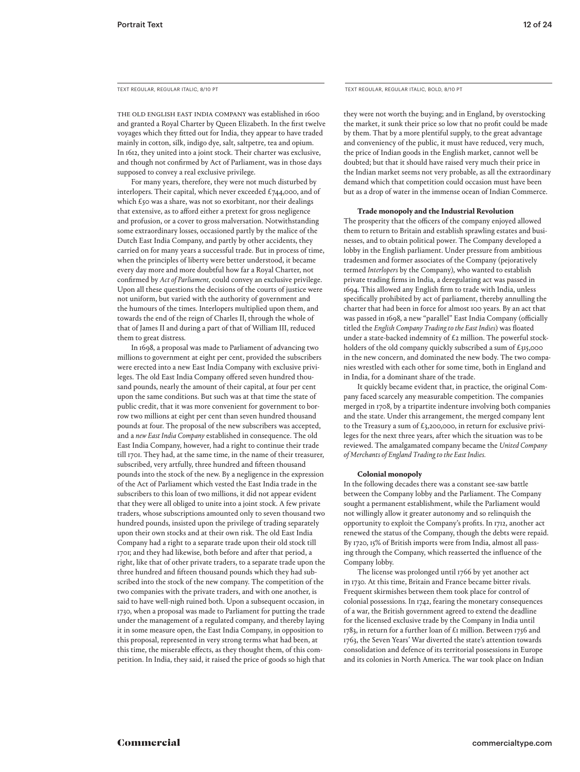The old English East India Company was established in 1600 and granted a Royal Charter by Queen Elizabeth. In the first twelve voyages which they fitted out for India, they appear to have traded mainly in cotton, silk, indigo dye, salt, saltpetre, tea and opium. In 1612, they united into a joint stock. Their charter was exclusive, and though not confirmed by Act of Parliament, was in those days supposed to convey a real exclusive privilege.

For many years, therefore, they were not much disturbed by interlopers. Their capital, which never exceeded  $\pounds$ 744,000, and of which £50 was a share, was not so exorbitant, nor their dealings that extensive, as to afford either a pretext for gross negligence and profusion, or a cover to gross malversation. Notwithstanding some extraordinary losses, occasioned partly by the malice of the Dutch East India Company, and partly by other accidents, they carried on for many years a successful trade. But in process of time, when the principles of liberty were better understood, it became every day more and more doubtful how far a Royal Charter, not confirmed by *Act of Parliament,* could convey an exclusive privilege. Upon all these questions the decisions of the courts of justice were not uniform, but varied with the authority of government and the humours of the times. Interlopers multiplied upon them, and towards the end of the reign of Charles II, through the whole of that of James II and during a part of that of William III, reduced them to great distress.

In 1698, a proposal was made to Parliament of advancing two millions to government at eight per cent, provided the subscribers were erected into a new East India Company with exclusive privileges. The old East India Company offered seven hundred thousand pounds, nearly the amount of their capital, at four per cent upon the same conditions. But such was at that time the state of public credit, that it was more convenient for government to borrow two millions at eight per cent than seven hundred thousand pounds at four. The proposal of the new subscribers was accepted, and a *new East India Company* established in consequence. The old East India Company, however, had a right to continue their trade till 1701. They had, at the same time, in the name of their treasurer, subscribed, very artfully, three hundred and fifteen thousand pounds into the stock of the new. By a negligence in the expression of the Act of Parliament which vested the East India trade in the subscribers to this loan of two millions, it did not appear evident that they were all obliged to unite into a joint stock. A few private traders, whose subscriptions amounted only to seven thousand two hundred pounds, insisted upon the privilege of trading separately upon their own stocks and at their own risk. The old East India Company had a right to a separate trade upon their old stock till 1701; and they had likewise, both before and after that period, a right, like that of other private traders, to a separate trade upon the three hundred and fifteen thousand pounds which they had subscribed into the stock of the new company. The competition of the two companies with the private traders, and with one another, is said to have well-nigh ruined both. Upon a subsequent occasion, in 1730, when a proposal was made to Parliament for putting the trade under the management of a regulated company, and thereby laying it in some measure open, the East India Company, in opposition to this proposal, represented in very strong terms what had been, at this time, the miserable effects, as they thought them, of this competition. In India, they said, it raised the price of goods so high that

TEXT REGULAR, REGULAR ITALIC, 8/10 PT TEXT REGULAR, REGULAR, REGULAR ITALIC, BOLD, 8/10 PT

they were not worth the buying; and in England, by overstocking the market, it sunk their price so low that no profit could be made by them. That by a more plentiful supply, to the great advantage and conveniency of the public, it must have reduced, very much, the price of Indian goods in the English market, cannot well be doubted; but that it should have raised very much their price in the Indian market seems not very probable, as all the extraordinary demand which that competition could occasion must have been but as a drop of water in the immense ocean of Indian Commerce.

#### **Trade monopoly and the Industrial Revolution**

The prosperity that the officers of the company enjoyed allowed them to return to Britain and establish sprawling estates and businesses, and to obtain political power. The Company developed a lobby in the English parliament. Under pressure from ambitious tradesmen and former associates of the Company (pejoratively termed *Interlopers* by the Company), who wanted to establish private trading firms in India, a deregulating act was passed in 1694. This allowed any English firm to trade with India, unless specifically prohibited by act of parliament, thereby annulling the charter that had been in force for almost 100 years. By an act that was passed in 1698, a new "parallel" East India Company (officially titled the *English Company Trading to the East Indies*) was floated under a state-backed indemnity of  $\pounds$ 2 million. The powerful stockholders of the old company quickly subscribed a sum of £315,000 in the new concern, and dominated the new body. The two companies wrestled with each other for some time, both in England and in India, for a dominant share of the trade.

It quickly became evident that, in practice, the original Company faced scarcely any measurable competition. The companies merged in 1708, by a tripartite indenture involving both companies and the state. Under this arrangement, the merged company lent to the Treasury a sum of  $\pounds$ 3,200,000, in return for exclusive privileges for the next three years, after which the situation was to be reviewed. The amalgamated company became the *United Company of Merchants of England Trading to the East Indies.*

#### **Colonial monopoly**

In the following decades there was a constant see-saw battle between the Company lobby and the Parliament. The Company sought a permanent establishment, while the Parliament would not willingly allow it greater autonomy and so relinquish the opportunity to exploit the Company's profits. In 1712, another act renewed the status of the Company, though the debts were repaid. By 1720, 15% of British imports were from India, almost all passing through the Company, which reasserted the influence of the Company lobby.

The license was prolonged until 1766 by yet another act in 1730. At this time, Britain and France became bitter rivals. Frequent skirmishes between them took place for control of colonial possessions. In 1742, fearing the monetary consequences of a war, the British government agreed to extend the deadline for the licensed exclusive trade by the Company in India until 1783, in return for a further loan of  $\mathcal E$ I million. Between 1756 and 1763, the Seven Years' War diverted the state's attention towards consolidation and defence of its territorial possessions in Europe and its colonies in North America. The war took place on Indian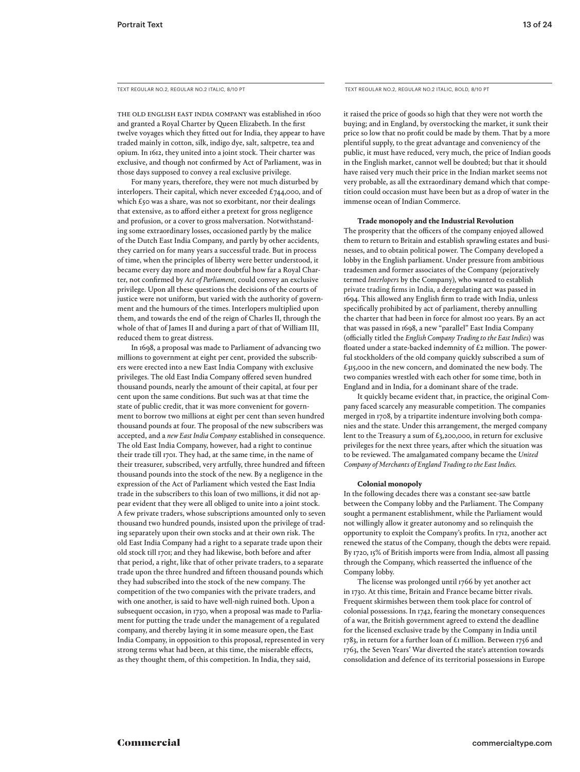The old English East India Company was established in 1600 and granted a Royal Charter by Queen Elizabeth. In the first twelve voyages which they fitted out for India, they appear to have traded mainly in cotton, silk, indigo dye, salt, saltpetre, tea and opium. In 1612, they united into a joint stock. Their charter was exclusive, and though not confirmed by Act of Parliament, was in those days supposed to convey a real exclusive privilege.

For many years, therefore, they were not much disturbed by interlopers. Their capital, which never exceeded  $\pounds$ 744,000, and of which £50 was a share, was not so exorbitant, nor their dealings that extensive, as to afford either a pretext for gross negligence and profusion, or a cover to gross malversation. Notwithstanding some extraordinary losses, occasioned partly by the malice of the Dutch East India Company, and partly by other accidents, they carried on for many years a successful trade. But in process of time, when the principles of liberty were better understood, it became every day more and more doubtful how far a Royal Charter, not confirmed by *Act of Parliament,* could convey an exclusive privilege. Upon all these questions the decisions of the courts of justice were not uniform, but varied with the authority of government and the humours of the times. Interlopers multiplied upon them, and towards the end of the reign of Charles II, through the whole of that of James II and during a part of that of William III, reduced them to great distress.

In 1698, a proposal was made to Parliament of advancing two millions to government at eight per cent, provided the subscribers were erected into a new East India Company with exclusive privileges. The old East India Company offered seven hundred thousand pounds, nearly the amount of their capital, at four per cent upon the same conditions. But such was at that time the state of public credit, that it was more convenient for government to borrow two millions at eight per cent than seven hundred thousand pounds at four. The proposal of the new subscribers was accepted, and a *new East India Company* established in consequence. The old East India Company, however, had a right to continue their trade till 1701. They had, at the same time, in the name of their treasurer, subscribed, very artfully, three hundred and fifteen thousand pounds into the stock of the new. By a negligence in the expression of the Act of Parliament which vested the East India trade in the subscribers to this loan of two millions, it did not appear evident that they were all obliged to unite into a joint stock. A few private traders, whose subscriptions amounted only to seven thousand two hundred pounds, insisted upon the privilege of trading separately upon their own stocks and at their own risk. The old East India Company had a right to a separate trade upon their old stock till 1701; and they had likewise, both before and after that period, a right, like that of other private traders, to a separate trade upon the three hundred and fifteen thousand pounds which they had subscribed into the stock of the new company. The competition of the two companies with the private traders, and with one another, is said to have well-nigh ruined both. Upon a subsequent occasion, in 1730, when a proposal was made to Parliament for putting the trade under the management of a regulated company, and thereby laying it in some measure open, the East India Company, in opposition to this proposal, represented in very strong terms what had been, at this time, the miserable effects, as they thought them, of this competition. In India, they said,

TEXT REGULAR NO.2, REGULAR NO.2 ITALIC, 8/10 PT TEXT REGULAR NO.2, REGULAR NO.2 ITALIC, BOLD, 8/10 PT

it raised the price of goods so high that they were not worth the buying; and in England, by overstocking the market, it sunk their price so low that no profit could be made by them. That by a more plentiful supply, to the great advantage and conveniency of the public, it must have reduced, very much, the price of Indian goods in the English market, cannot well be doubted; but that it should have raised very much their price in the Indian market seems not very probable, as all the extraordinary demand which that competition could occasion must have been but as a drop of water in the immense ocean of Indian Commerce.

#### **Trade monopoly and the Industrial Revolution**

The prosperity that the officers of the company enjoyed allowed them to return to Britain and establish sprawling estates and businesses, and to obtain political power. The Company developed a lobby in the English parliament. Under pressure from ambitious tradesmen and former associates of the Company (pejoratively termed *Interlopers* by the Company), who wanted to establish private trading firms in India, a deregulating act was passed in 1694. This allowed any English firm to trade with India, unless specifically prohibited by act of parliament, thereby annulling the charter that had been in force for almost 100 years. By an act that was passed in 1698, a new "parallel" East India Company (officially titled the *English Company Trading to the East Indies*) was floated under a state-backed indemnity of  $\pounds$ 2 million. The powerful stockholders of the old company quickly subscribed a sum of  $£315,000$  in the new concern, and dominated the new body. The two companies wrestled with each other for some time, both in England and in India, for a dominant share of the trade.

It quickly became evident that, in practice, the original Company faced scarcely any measurable competition. The companies merged in 1708, by a tripartite indenture involving both companies and the state. Under this arrangement, the merged company lent to the Treasury a sum of £3,200,000, in return for exclusive privileges for the next three years, after which the situation was to be reviewed. The amalgamated company became the *United Company of Merchants of England Trading to the East Indies.*

#### **Colonial monopoly**

In the following decades there was a constant see-saw battle between the Company lobby and the Parliament. The Company sought a permanent establishment, while the Parliament would not willingly allow it greater autonomy and so relinquish the opportunity to exploit the Company's profits. In 1712, another act renewed the status of the Company, though the debts were repaid. By 1720, 15% of British imports were from India, almost all passing through the Company, which reasserted the influence of the Company lobby.

The license was prolonged until 1766 by yet another act in 1730. At this time, Britain and France became bitter rivals. Frequent skirmishes between them took place for control of colonial possessions. In 1742, fearing the monetary consequences of a war, the British government agreed to extend the deadline for the licensed exclusive trade by the Company in India until 1783, in return for a further loan of  $£$ 1 million. Between 1756 and 1763, the Seven Years' War diverted the state's attention towards consolidation and defence of its territorial possessions in Europe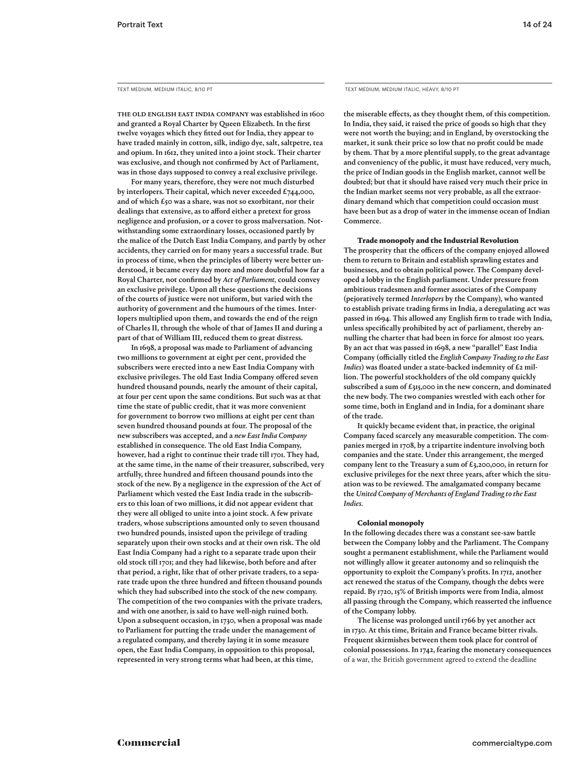The old English East India Company was established in 1600 and granted a Royal Charter by Queen Elizabeth. In the first twelve voyages which they fitted out for India, they appear to have traded mainly in cotton, silk, indigo dye, salt, saltpetre, tea and opium. In 1612, they united into a joint stock. Their charter was exclusive, and though not confirmed by Act of Parliament, was in those days supposed to convey a real exclusive privilege.

For many years, therefore, they were not much disturbed by interlopers. Their capital, which never exceeded £744,000, and of which  $\pounds$ 50 was a share, was not so exorbitant, nor their dealings that extensive, as to afford either a pretext for gross negligence and profusion, or a cover to gross malversation. Notwithstanding some extraordinary losses, occasioned partly by the malice of the Dutch East India Company, and partly by other accidents, they carried on for many years a successful trade. But in process of time, when the principles of liberty were better understood, it became every day more and more doubtful how far a Royal Charter, not confirmed by *Act of Parliament,* could convey an exclusive privilege. Upon all these questions the decisions of the courts of justice were not uniform, but varied with the authority of government and the humours of the times. Interlopers multiplied upon them, and towards the end of the reign of Charles II, through the whole of that of James II and during a part of that of William III, reduced them to great distress.

In 1698, a proposal was made to Parliament of advancing two millions to government at eight per cent, provided the subscribers were erected into a new East India Company with exclusive privileges. The old East India Company offered seven hundred thousand pounds, nearly the amount of their capital, at four per cent upon the same conditions. But such was at that time the state of public credit, that it was more convenient for government to borrow two millions at eight per cent than seven hundred thousand pounds at four. The proposal of the new subscribers was accepted, and a *new East India Company* established in consequence. The old East India Company, however, had a right to continue their trade till 1701. They had, at the same time, in the name of their treasurer, subscribed, very artfully, three hundred and fifteen thousand pounds into the stock of the new. By a negligence in the expression of the Act of Parliament which vested the East India trade in the subscribers to this loan of two millions, it did not appear evident that they were all obliged to unite into a joint stock. A few private traders, whose subscriptions amounted only to seven thousand two hundred pounds, insisted upon the privilege of trading separately upon their own stocks and at their own risk. The old East India Company had a right to a separate trade upon their old stock till 1701; and they had likewise, both before and after that period, a right, like that of other private traders, to a separate trade upon the three hundred and fifteen thousand pounds which they had subscribed into the stock of the new company. The competition of the two companies with the private traders, and with one another, is said to have well-nigh ruined both. Upon a subsequent occasion, in 1730, when a proposal was made to Parliament for putting the trade under the management of a regulated company, and thereby laying it in some measure open, the East India Company, in opposition to this proposal, represented in very strong terms what had been, at this time,

TEXT MEDIUM, MEDIUM ITALIC, 8/10 PT TEXT MEDIUM, MEDIUM ITALIC, HEAVY, 8/10 PT

the miserable effects, as they thought them, of this competition. In India, they said, it raised the price of goods so high that they were not worth the buying; and in England, by overstocking the market, it sunk their price so low that no profit could be made by them. That by a more plentiful supply, to the great advantage and conveniency of the public, it must have reduced, very much, the price of Indian goods in the English market, cannot well be doubted; but that it should have raised very much their price in the Indian market seems not very probable, as all the extraordinary demand which that competition could occasion must have been but as a drop of water in the immense ocean of Indian Commerce.

#### Trade monopoly and the Industrial Revolution

The prosperity that the officers of the company enjoyed allowed them to return to Britain and establish sprawling estates and businesses, and to obtain political power. The Company developed a lobby in the English parliament. Under pressure from ambitious tradesmen and former associates of the Company (pejoratively termed *Interlopers* by the Company), who wanted to establish private trading firms in India, a deregulating act was passed in 1694. This allowed any English firm to trade with India, unless specifically prohibited by act of parliament, thereby annulling the charter that had been in force for almost 100 years. By an act that was passed in 1698, a new "parallel" East India Company (officially titled the *English Company Trading to the East Indies*) was floated under a state-backed indemnity of £2 million. The powerful stockholders of the old company quickly subscribed a sum of £315,000 in the new concern, and dominated the new body. The two companies wrestled with each other for some time, both in England and in India, for a dominant share of the trade.

It quickly became evident that, in practice, the original Company faced scarcely any measurable competition. The companies merged in 1708, by a tripartite indenture involving both companies and the state. Under this arrangement, the merged company lent to the Treasury a sum of £3,200,000, in return for exclusive privileges for the next three years, after which the situation was to be reviewed. The amalgamated company became the *United Company of Merchants of England Trading to the East Indies.*

#### Colonial monopoly

In the following decades there was a constant see-saw battle between the Company lobby and the Parliament. The Company sought a permanent establishment, while the Parliament would not willingly allow it greater autonomy and so relinquish the opportunity to exploit the Company's profits. In 1712, another act renewed the status of the Company, though the debts were repaid. By 1720, 15% of British imports were from India, almost all passing through the Company, which reasserted the influence of the Company lobby.

The license was prolonged until 1766 by yet another act in 1730. At this time, Britain and France became bitter rivals. Frequent skirmishes between them took place for control of colonial possessions. In 1742, fearing the monetary consequences of a war, the British government agreed to extend the deadline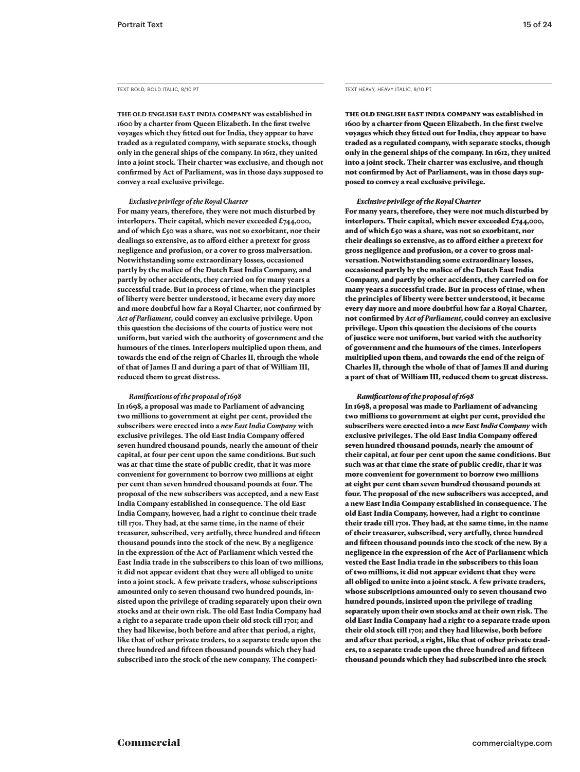**The old English East India Company was established in 1600 by a charter from Queen Elizabeth. In the first twelve voyages which they fitted out for India, they appear to have traded as a regulated company, with separate stocks, though only in the general ships of the company. In 1612, they united into a joint stock. Their charter was exclusive, and though not confirmed by Act of Parliament, was in those days supposed to convey a real exclusive privilege.** 

#### *Exclusive privilege of the Royal Charter*

**For many years, therefore, they were not much disturbed by interlopers. Their capital, which never exceeded £744,000, and of which £50 was a share, was not so exorbitant, nor their dealings so extensive, as to afford either a pretext for gross negligence and profusion, or a cover to gross malversation. Notwithstanding some extraordinary losses, occasioned partly by the malice of the Dutch East India Company, and partly by other accidents, they carried on for many years a successful trade. But in process of time, when the principles of liberty were better understood, it became every day more and more doubtful how far a Royal Charter, not confirmed by**  *Act of Parliament,* **could convey an exclusive privilege. Upon this question the decisions of the courts of justice were not uniform, but varied with the authority of government and the humours of the times. Interlopers multiplied upon them, and towards the end of the reign of Charles II, through the whole of that of James II and during a part of that of William III, reduced them to great distress.** 

#### *Ramifications of the proposal of 1698*

**In 1698, a proposal was made to Parliament of advancing two millions to government at eight per cent, provided the subscribers were erected into a** *new East India Company* **with exclusive privileges. The old East India Company offered seven hundred thousand pounds, nearly the amount of their capital, at four per cent upon the same conditions. But such was at that time the state of public credit, that it was more convenient for government to borrow two millions at eight per cent than seven hundred thousand pounds at four. The proposal of the new subscribers was accepted, and a new East India Company established in consequence. The old East India Company, however, had a right to continue their trade till 1701. They had, at the same time, in the name of their treasurer, subscribed, very artfully, three hundred and fifteen thousand pounds into the stock of the new. By a negligence in the expression of the Act of Parliament which vested the East India trade in the subscribers to this loan of two millions, it did not appear evident that they were all obliged to unite into a joint stock. A few private traders, whose subscriptions amounted only to seven thousand two hundred pounds, insisted upon the privilege of trading separately upon their own stocks and at their own risk. The old East India Company had a right to a separate trade upon their old stock till 1701; and they had likewise, both before and after that period, a right, like that of other private traders, to a separate trade upon the three hundred and fifteen thousand pounds which they had subscribed into the stock of the new company. The competi-**

The old English East India Company was established in 1600 by a charter from Queen Elizabeth. In the first twelve voyages which they fitted out for India, they appear to have traded as a regulated company, with separate stocks, though only in the general ships of the company. In 1612, they united into a joint stock. Their charter was exclusive, and though not confirmed by Act of Parliament, was in those days supposed to convey a real exclusive privilege.

#### *Exclusive privilege of the Royal Charter*

For many years, therefore, they were not much disturbed by interlopers. Their capital, which never exceeded  $£744,000,$ and of which £50 was a share, was not so exorbitant, nor their dealings so extensive, as to afford either a pretext for gross negligence and profusion, or a cover to gross malversation. Notwithstanding some extraordinary losses, occasioned partly by the malice of the Dutch East India Company, and partly by other accidents, they carried on for many years a successful trade. But in process of time, when the principles of liberty were better understood, it became every day more and more doubtful how far a Royal Charter, not confirmed by *Act of Parliament,* could convey an exclusive privilege. Upon this question the decisions of the courts of justice were not uniform, but varied with the authority of government and the humours of the times. Interlopers multiplied upon them, and towards the end of the reign of Charles II, through the whole of that of James II and during a part of that of William III, reduced them to great distress.

#### *Ramifications of the proposal of 1698*

In 1698, a proposal was made to Parliament of advancing two millions to government at eight per cent, provided the subscribers were erected into a *new East India Company* with exclusive privileges. The old East India Company offered seven hundred thousand pounds, nearly the amount of their capital, at four per cent upon the same conditions. But such was at that time the state of public credit, that it was more convenient for government to borrow two millions at eight per cent than seven hundred thousand pounds at four. The proposal of the new subscribers was accepted, and a new East India Company established in consequence. The old East India Company, however, had a right to continue their trade till 1701. They had, at the same time, in the name of their treasurer, subscribed, very artfully, three hundred and fifteen thousand pounds into the stock of the new. By a negligence in the expression of the Act of Parliament which vested the East India trade in the subscribers to this loan of two millions, it did not appear evident that they were all obliged to unite into a joint stock. A few private traders, whose subscriptions amounted only to seven thousand two hundred pounds, insisted upon the privilege of trading separately upon their own stocks and at their own risk. The old East India Company had a right to a separate trade upon their old stock till 1701; and they had likewise, both before and after that period, a right, like that of other private traders, to a separate trade upon the three hundred and fifteen thousand pounds which they had subscribed into the stock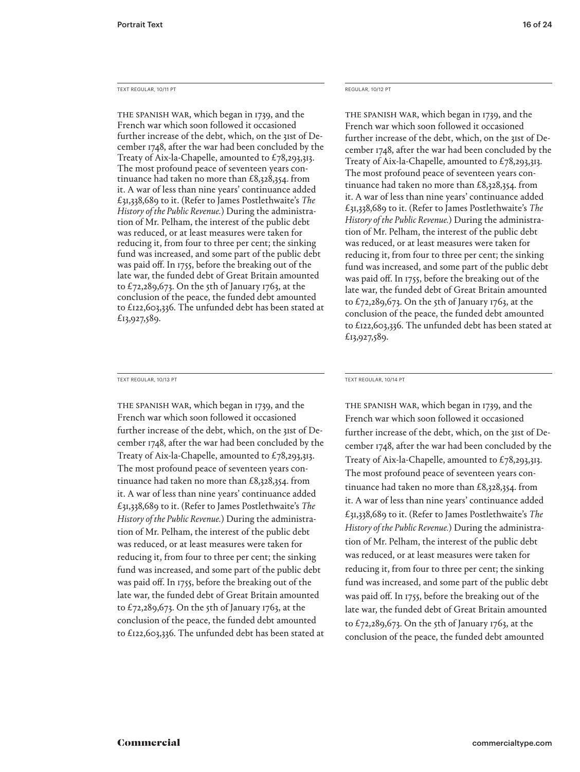#### TEXT REGULAR. 10/11 PT **REGULAR, 10/12 PT**

THE SPANISH WAR, which began in 1739, and the French war which soon followed it occasioned further increase of the debt, which, on the 31st of December 1748, after the war had been concluded by the Treaty of Aix-la-Chapelle, amounted to £78,293,313. The most profound peace of seventeen years continuance had taken no more than £8,328,354. from it. A war of less than nine years' continuance added £31,338,689 to it. (Refer to James Postlethwaite's *The History of the Public Revenue.*) During the administration of Mr. Pelham, the interest of the public debt was reduced, or at least measures were taken for reducing it, from four to three per cent; the sinking fund was increased, and some part of the public debt was paid off. In 1755, before the breaking out of the late war, the funded debt of Great Britain amounted to  $£72,289,673$ . On the 5th of January 1763, at the conclusion of the peace, the funded debt amounted to £122,603,336. The unfunded debt has been stated at £13,927,589.

#### TEXT REGULAR, 10/13 PT TEXT REGULAR, 10/14 PT

THE SPANISH WAR, which began in 1739, and the French war which soon followed it occasioned further increase of the debt, which, on the 31st of December 1748, after the war had been concluded by the Treaty of Aix-la-Chapelle, amounted to  $£78,293,313$ . The most profound peace of seventeen years continuance had taken no more than £8,328,354. from it. A war of less than nine years' continuance added £31,338,689 to it. (Refer to James Postlethwaite's *The History of the Public Revenue.*) During the administration of Mr. Pelham, the interest of the public debt was reduced, or at least measures were taken for reducing it, from four to three per cent; the sinking fund was increased, and some part of the public debt was paid off. In 1755, before the breaking out of the late war, the funded debt of Great Britain amounted to  $£72,289,673$ . On the 5th of January 1763, at the conclusion of the peace, the funded debt amounted to £122,603,336. The unfunded debt has been stated at

The Spanish war, which began in 1739, and the French war which soon followed it occasioned further increase of the debt, which, on the 31st of December 1748, after the war had been concluded by the Treaty of Aix-la-Chapelle, amounted to £78,293,313. The most profound peace of seventeen years continuance had taken no more than £8,328,354. from it. A war of less than nine years' continuance added £31,338,689 to it. (Refer to James Postlethwaite's *The History of the Public Revenue.*) During the administration of Mr. Pelham, the interest of the public debt was reduced, or at least measures were taken for reducing it, from four to three per cent; the sinking fund was increased, and some part of the public debt was paid off. In 1755, before the breaking out of the late war, the funded debt of Great Britain amounted to  $£72,289,673$ . On the 5th of January 1763, at the conclusion of the peace, the funded debt amounted to £122,603,336. The unfunded debt has been stated at £13,927,589.

THE SPANISH WAR, which began in 1739, and the French war which soon followed it occasioned further increase of the debt, which, on the 31st of December 1748, after the war had been concluded by the Treaty of Aix-la-Chapelle, amounted to £78,293,313. The most profound peace of seventeen years continuance had taken no more than £8,328,354. from it. A war of less than nine years' continuance added £31,338,689 to it. (Refer to James Postlethwaite's *The History of the Public Revenue.*) During the administration of Mr. Pelham, the interest of the public debt was reduced, or at least measures were taken for reducing it, from four to three per cent; the sinking fund was increased, and some part of the public debt was paid off. In 1755, before the breaking out of the late war, the funded debt of Great Britain amounted to  $£72,289,673$ . On the 5th of January 1763, at the conclusion of the peace, the funded debt amounted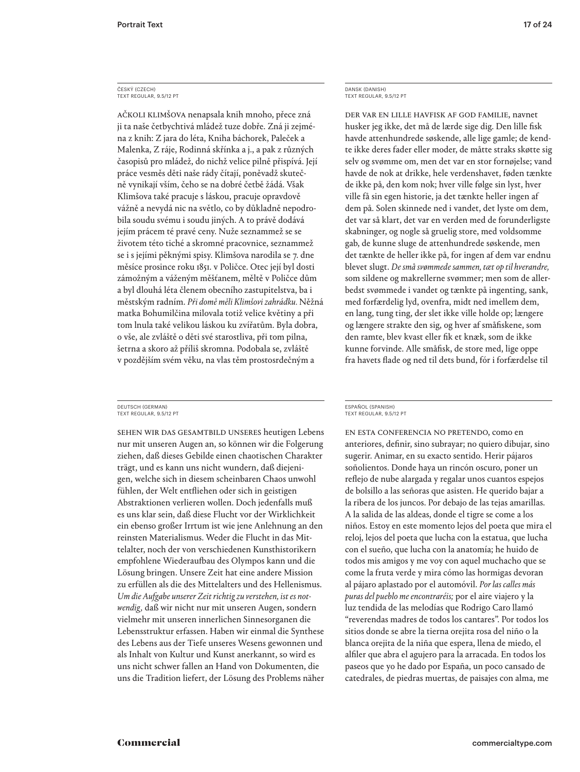#### ČESKÝ (CZECH) TEXT REGULAR, 9.5/12 PT

ačkoli klimšova nenapsala knih mnoho, přece zná ji ta naše četbychtivá mládež tuze dobře. Zná ji zejména z knih: Z jara do léta, Kniha báchorek, Paleček a Malenka, Z ráje, Rodinná skřínka a j., a pak z různých časopisů pro mládež, do nichž velice pilně přispívá. Její práce vesměs děti naše rády čítají, poněvadž skutečně vynikají vším, čeho se na dobré četbě žádá. Však Klimšova také pracuje s láskou, pracuje opravdově vážně a nevydá nic na světlo, co by důkladně nepodrobila soudu svému i soudu jiných. A to právě dodává jejím prácem té pravé ceny. Nuže seznammež se se životem této tiché a skromné pracovnice, seznammež se i s jejími pěknými spisy. Klimšova narodila se 7. dne měsíce prosince roku 1851. v Poličce. Otec její byl dosti zámožným a váženým měšťanem, měltě v Poličce dům a byl dlouhá léta členem obecního zastupitelstva, ba i městským radním. *Při domě měli Klimšovi zahrádku.* Něžná matka Bohumilčina milovala totiž velice květiny a při tom lnula také velikou láskou ku zvířatům. Byla dobra, o vše, ale zvláště o děti své starostliva, při tom pilna, šetrna a skoro až příliš skromna. Podobala se, zvláště v pozdějším svém věku, na vlas těm prostosrdečným a

DEUTSCH (GERMAN) TEXT REGULAR, 9.5/12 PT

Sehen wir das Gesamtbild unseres heutigen Lebens nur mit unseren Augen an, so können wir die Folgerung ziehen, daß dieses Gebilde einen chaotischen Charakter trägt, und es kann uns nicht wundern, daß diejenigen, welche sich in diesem scheinbaren Chaos unwohl fühlen, der Welt entfliehen oder sich in geistigen Abstraktionen verlieren wollen. Doch jedenfalls muß es uns klar sein, daß diese Flucht vor der Wirklichkeit ein ebenso großer Irrtum ist wie jene Anlehnung an den reinsten Materialismus. Weder die Flucht in das Mittelalter, noch der von verschiedenen Kunsthistorikern empfohlene Wiederaufbau des Olympos kann und die Lösung bringen. Unsere Zeit hat eine andere Mission zu erfüllen als die des Mittelalters und des Hellenismus. *Um die Aufgabe unserer Zeit richtig zu verstehen, ist es notwendig,* daß wir nicht nur mit unseren Augen, sondern vielmehr mit unseren innerlichen Sinnesorganen die Lebensstruktur erfassen. Haben wir einmal die Synthese des Lebens aus der Tiefe unseres Wesens gewonnen und als Inhalt von Kultur und Kunst anerkannt, so wird es uns nicht schwer fallen an Hand von Dokumenten, die uns die Tradition liefert, der Lösung des Problems näher DANSK (DANISH) TEXT REGULAR, 9.5/12 PT

Der var en lille havfisk af god familie, navnet husker jeg ikke, det må de lærde sige dig. Den lille fisk havde attenhundrede søskende, alle lige gamle; de kendte ikke deres fader eller moder, de måtte straks skøtte sig selv og svømme om, men det var en stor fornøjelse; vand havde de nok at drikke, hele verdenshavet, føden tænkte de ikke på, den kom nok; hver ville følge sin lyst, hver ville få sin egen historie, ja det tænkte heller ingen af dem på. Solen skinnede ned i vandet, det lyste om dem, det var så klart, det var en verden med de forunderligste skabninger, og nogle så gruelig store, med voldsomme gab, de kunne sluge de attenhundrede søskende, men det tænkte de heller ikke på, for ingen af dem var endnu blevet slugt. *De små svømmede sammen, tæt op til hverandre,*  som sildene og makrellerne svømmer; men som de allerbedst svømmede i vandet og tænkte på ingenting, sank, med forfærdelig lyd, ovenfra, midt ned imellem dem, en lang, tung ting, der slet ikke ville holde op; længere og længere strakte den sig, og hver af småfiskene, som den ramte, blev kvast eller fik et knæk, som de ikke kunne forvinde. Alle småfisk, de store med, lige oppe fra havets flade og ned til dets bund, fór i forfærdelse til

En esta conferencia no pretendo, como en anteriores, definir, sino subrayar; no quiero dibujar, sino sugerir. Animar, en su exacto sentido. Herir pájaros soñolientos. Donde haya un rincón oscuro, poner un reflejo de nube alargada y regalar unos cuantos espejos de bolsillo a las señoras que asisten. He querido bajar a la ribera de los juncos. Por debajo de las tejas amarillas. A la salida de las aldeas, donde el tigre se come a los niños. Estoy en este momento lejos del poeta que mira el reloj, lejos del poeta que lucha con la estatua, que lucha con el sueño, que lucha con la anatomía; he huido de todos mis amigos y me voy con aquel muchacho que se come la fruta verde y mira cómo las hormigas devoran al pájaro aplastado por el automóvil. *Por las calles más puras del pueblo me encontraréis;* por el aire viajero y la luz tendida de las melodías que Rodrigo Caro llamó "reverendas madres de todos los cantares". Por todos los sitios donde se abre la tierna orejita rosa del niño o la blanca orejita de la niña que espera, llena de miedo, el alfiler que abra el agujero para la arracada. En todos los paseos que yo he dado por España, un poco cansado de catedrales, de piedras muertas, de paisajes con alma, me

ESPAÑOL (SPANISH) TEXT REGULAR, 9.5/12 PT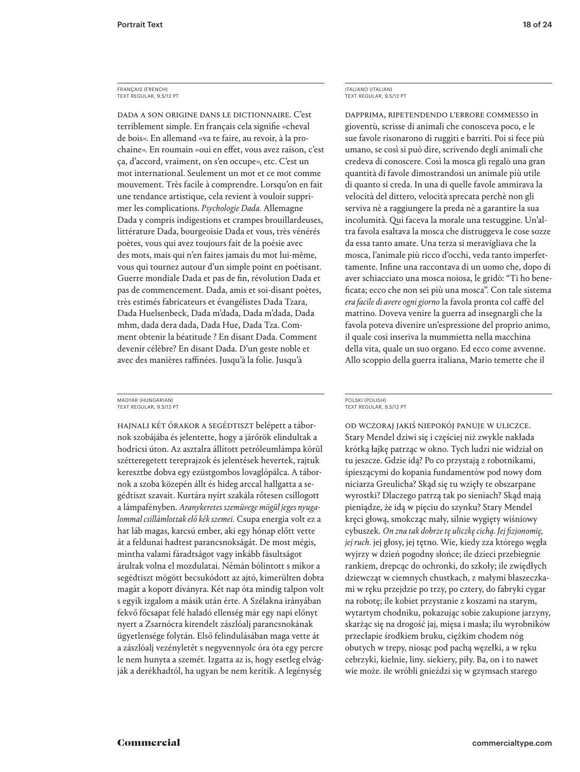#### FRANÇAIS (FRENCH) TEXT REGULAR, 9.5/12 PT

Dada a son origine dans le dictionnaire. C'est terriblement simple. En français cela signifie «cheval de bois». En allemand «va te faire, au revoir, à la prochaine». En roumain «oui en effet, vous avez raison, c'est ça, d'accord, vraiment, on s'en occupe», etc. C'est un mot international. Seulement un mot et ce mot comme mouvement. Très facile à comprendre. Lorsqu'on en fait une tendance artistique, cela revient à vouloir supprimer les complications. *Psychologie Dada.* Allemagne Dada y compris indigestions et crampes brouillardeuses, littérature Dada, bourgeoisie Dada et vous, très vénérés poètes, vous qui avez toujours fait de la poésie avec des mots, mais qui n'en faites jamais du mot lui-même, vous qui tournez autour d'un simple point en poétisant. Guerre mondiale Dada et pas de fin, révolution Dada et pas de commencement. Dada, amis et soi-disant poètes, très estimés fabricateurs et évangélistes Dada Tzara, Dada Huelsenbeck, Dada m'dada, Dada m'dada, Dada mhm, dada dera dada, Dada Hue, Dada Tza. Comment obtenir la béatitude ? En disant Dada. Comment devenir célèbre? En disant Dada. D'un geste noble et avec des manières raffinées. Jusqu'à la folie. Jusqu'à

#### MAGYAR (HUNGARIAN) TEXT REGULAR, 9.5/12 PT

HAJNALI KÉT ÓRAKOR A SEGÉDTISZT belépett a tábornok szobájába és jelentette, hogy a járőrök elindultak a hodricsi úton. Az asztalra állított petróleumlámpa körül szétteregetett tereprajzok és jelentések hevertek, rajtuk keresztbe dobva egy ezüstgombos lovaglópálca. A tábornok a szoba közepén állt és hideg arccal hallgatta a segédtiszt szavait. Kurtára nyírt szakála rőtesen csillogott a lámpafényben. *Aranykeretes szemüvege mögül jeges nyugalommal csillámlottak elő kék szemei.* Csupa energia volt ez a hat láb magas, karcsú ember, aki egy hónap előtt vette át a feldunai hadtest parancsnokságát. De most mégis, mintha valami fáradtságot vagy inkább fásultságot árultak volna el mozdulatai. Némán bólintott s mikor a segédtiszt mögött becsukódott az ajtó, kimerülten dobta magát a kopott díványra. Két nap óta mindig talpon volt s egyik izgalom a másik után érte. A Szélakna irányában fekvő főcsapat felé haladó ellenség már egy napi előnyt nyert a Zsarnócra kirendelt zászlóalj parancsnokának ügyetlensége folytán. Első felindulásában maga vette át a zászlóalj vezényletét s negyvennyolc óra óta egy percre le nem hunyta a szemét. Izgatta az is, hogy esetleg elvágják a derékhadtól, ha ugyan be nem kerítik. A legénység

ITALIANO (ITALIAN) TEXT REGULAR, 9.5/12 PT

Dapprima, ripetendendo l'errore commesso in gioventù, scrisse di animali che conosceva poco, e le sue favole risonarono di ruggiti e barriti. Poi si fece più umano, se così si può dire, scrivendo degli animali che credeva di conoscere. Così la mosca gli regalò una gran quantità di favole dimostrandosi un animale più utile di quanto si creda. In una di quelle favole ammirava la velocità del dittero, velocità sprecata perchè non gli serviva nè a raggiungere la preda nè a garantire la sua incolumità. Qui faceva la morale una testuggine. Un'altra favola esaltava la mosca che distruggeva le cose sozze da essa tanto amate. Una terza si meravigliava che la mosca, l'animale più ricco d'occhi, veda tanto imperfettamente. Infine una raccontava di un uomo che, dopo di aver schiacciato una mosca noiosa, le gridò: "Ti ho beneficata; ecco che non sei più una mosca". Con tale sistema *era facile di avere ogni giorno* la favola pronta col caffè del mattino. Doveva venire la guerra ad insegnargli che la favola poteva divenire un'espressione del proprio animo, il quale così inseriva la mummietta nella macchina della vita, quale un suo organo. Ed ecco come avvenne. Allo scoppio della guerra italiana, Mario temette che il

#### POLSKI (POLISH) TEXT REGULAR, 9.5/12 PT

od wczoraj jakiś niepokój panuje w uliczce. Stary Mendel dziwi się i częściej niż zwykle nakłada krótką łajkę patrząc w okno. Tych ludzi nie widział on tu jeszcze. Gdzie idą? Po co przystają z robotnikami, śpieszącymi do kopania fundamentów pod nowy dom niciarza Greulicha? Skąd się tu wzięły te obszarpane wyrostki? Dlaczego patrzą tak po sieniach? Skąd mają pieniądze, że idą w pięciu do szynku? Stary Mendel kręci głową, smokcząc mały, silnie wygięty wiśniowy cybuszek. *On zna tak dobrze tę uliczkę cichą. Jej fizjonomię, jej ruch.* jej głosy, jej tętno. Wie, kiedy zza którego węgła wyjrzy w dzień pogodny słońce; ile dzieci przebiegnie rankiem, drepcąc do ochronki, do szkoły; ile zwiędłych dziewcząt w ciemnych chustkach, z małymi blaszeczkami w ręku przejdzie po trzy, po cztery, do fabryki cygar na robotę; ile kobiet przystanie z koszami na starym, wytartym chodniku, pokazując sobie zakupione jarzyny, skarżąc się na drogość jaj, mięsa i masła; ilu wyrobników przecłapie środkiem bruku, ciężkim chodem nóg obutych w trepy, niosąc pod pachą węzełki, a w ręku cebrzyki, kielnie, liny. siekiery, piły. Ba, on i to nawet wie może. ile wróbli gnieździ się w gzymsach starego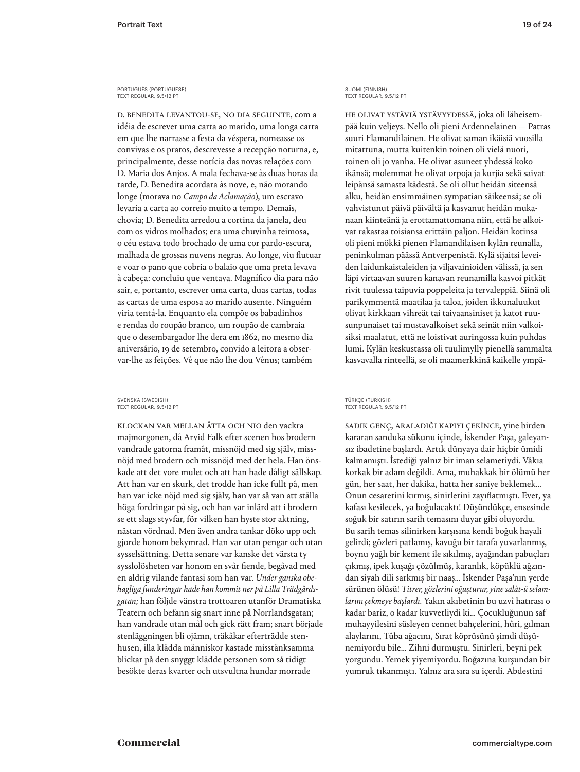D. Benedita levantou-se, no dia seguinte, com a idéia de escrever uma carta ao marido, uma longa carta em que lhe narrasse a festa da véspera, nomeasse os convivas e os pratos, descrevesse a recepção noturna, e, principalmente, desse notícia das novas relações com D. Maria dos Anjos. A mala fechava-se às duas horas da tarde, D. Benedita acordara às nove, e, não morando longe (morava no *Campo da Aclamação*), um escravo levaria a carta ao correio muito a tempo. Demais, chovia; D. Benedita arredou a cortina da janela, deu com os vidros molhados; era uma chuvinha teimosa, o céu estava todo brochado de uma cor pardo-escura, malhada de grossas nuvens negras. Ao longe, viu flutuar e voar o pano que cobria o balaio que uma preta levava à cabeça: concluiu que ventava. Magnífico dia para não sair, e, portanto, escrever uma carta, duas cartas, todas as cartas de uma esposa ao marido ausente. Ninguém viria tentá-la. Enquanto ela compõe os babadinhos e rendas do roupão branco, um roupão de cambraia que o desembargador lhe dera em 1862, no mesmo dia aniversário, 19 de setembro, convido a leitora a observar-lhe as feições. Vê que não lhe dou Vênus; também

Klockan var mellan åtta och nio den vackra majmorgonen, då Arvid Falk efter scenen hos brodern vandrade gatorna framåt, missnöjd med sig själv, missnöjd med brodern och missnöjd med det hela. Han önskade att det vore mulet och att han hade dåligt sällskap. Att han var en skurk, det trodde han icke fullt på, men han var icke nöjd med sig själv, han var så van att ställa höga fordringar på sig, och han var inlärd att i brodern se ett slags styvfar, för vilken han hyste stor aktning, nästan vördnad. Men även andra tankar döko upp och gjorde honom bekymrad. Han var utan pengar och utan sysselsättning. Detta senare var kanske det värsta ty sysslolösheten var honom en svår fiende, begåvad med en aldrig vilande fantasi som han var. *Under ganska obehagliga funderingar hade han kommit ner på Lilla Trädgårdsgatan;* han följde vänstra trottoaren utanför Dramatiska Teatern och befann sig snart inne på Norrlandsgatan; han vandrade utan mål och gick rätt fram; snart började stenläggningen bli ojämn, träkåkar efterträdde stenhusen, illa klädda människor kastade misstänksamma blickar på den snyggt klädde personen som så tidigt besökte deras kvarter och utsvultna hundar morrade

SUOMI (FINNISH) TEXT REGULAR, 9.5/12 PT

He olivat ystäviä ystävyydessä, joka oli läheisempää kuin veljeys. Nello oli pieni Ardennelainen — Patras suuri Flamandilainen. He olivat saman ikäisiä vuosilla mitattuna, mutta kuitenkin toinen oli vielä nuori, toinen oli jo vanha. He olivat asuneet yhdessä koko ikänsä; molemmat he olivat orpoja ja kurjia sekä saivat leipänsä samasta kädestä. Se oli ollut heidän siteensä alku, heidän ensimmäinen sympatian säikeensä; se oli vahvistunut päivä päivältä ja kasvanut heidän mukanaan kiinteänä ja erottamattomana niin, että he alkoivat rakastaa toisiansa erittäin paljon. Heidän kotinsa oli pieni mökki pienen Flamandilaisen kylän reunalla, peninkulman päässä Antverpenistä. Kylä sijaitsi leveiden laidunkaistaleiden ja viljavainioiden välissä, ja sen läpi virtaavan suuren kanavan reunamilla kasvoi pitkät rivit tuulessa taipuvia poppeleita ja tervaleppiä. Siinä oli parikymmentä maatilaa ja taloa, joiden ikkunaluukut olivat kirkkaan vihreät tai taivaansiniset ja katot ruusunpunaiset tai mustavalkoiset sekä seinät niin valkoisiksi maalatut, että ne loistivat auringossa kuin puhdas lumi. Kylän keskustassa oli tuulimylly pienellä sammalta kasvavalla rinteellä, se oli maamerkkinä kaikelle ympä-

#### TÜRKÇE (TURKISH) TEXT REGULAR, 9.5/12 PT

Sadık genç, araladığı kapıyı çekince, yine birden kararan sanduka sükunu içinde, İskender Paşa, galeyansız ibadetine başlardı. Artık dünyaya dair hiçbir ümidi kalmamıştı. İstediği yalnız bir iman selametiydi. Vâkıa korkak bir adam değildi. Ama, muhakkak bir ölümü her gün, her saat, her dakika, hatta her saniye beklemek… Onun cesaretini kırmış, sinirlerini zayıflatmıştı. Evet, ya kafası kesilecek, ya boğulacaktı! Düşündükçe, ensesinde soğuk bir satırın sarih temasını duyar gibi oluyordu. Bu sarih temas silinirken karşısına kendi boğuk hayali gelirdi; gözleri patlamış, kavuğu bir tarafa yuvarlanmış, boynu yağlı bir kement ile sıkılmış, ayağından pabuçları çıkmış, ipek kuşağı çözülmüş, karanlık, köpüklü ağzından siyah dili sarkmış bir naaş… İskender Paşa'nın yerde sürünen ölüsü! *Titrer, gözlerini oğuşturur, yine salât-ü selamlarını çekmeye başlardı.* Yakın akıbetinin bu uzvî hatırası o kadar bariz, o kadar kuvvetliydi ki… Çocukluğunun saf muhayyilesini süsleyen cennet bahçelerini, hûri, gılman alaylarını, Tûba ağacını, Sırat köprüsünü şimdi düşünemiyordu bile… Zihni durmuştu. Sinirleri, beyni pek yorgundu. Yemek yiyemiyordu. Boğazına kurşundan bir yumruk tıkanmıştı. Yalnız ara sıra su içerdi. Abdestini

SVENSKA (SWEDISH) TEXT REGULAR, 9.5/12 PT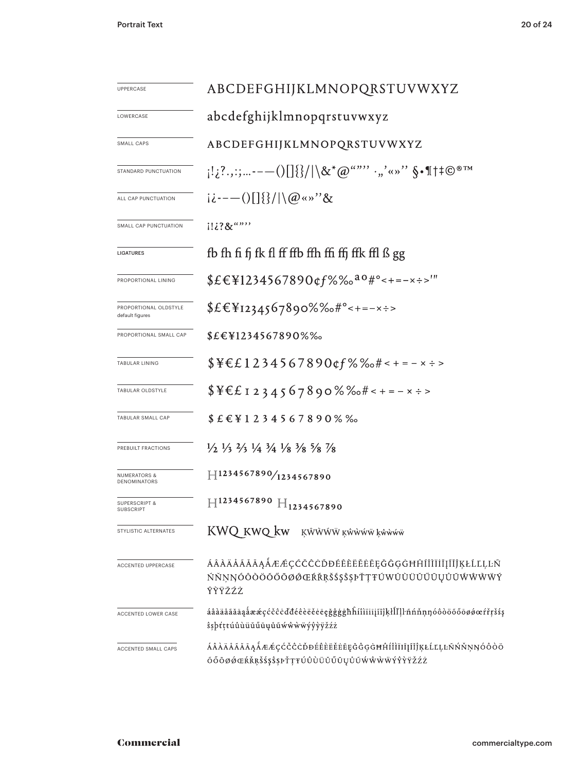| UPPERCASE                                    | ABCDEFGHIJKLMNOPQRSTUVWXYZ                                                                                                                                                                                                        |  |  |  |  |
|----------------------------------------------|-----------------------------------------------------------------------------------------------------------------------------------------------------------------------------------------------------------------------------------|--|--|--|--|
| LOWERCASE                                    | abcdefghijklmnopqrstuvwxyz                                                                                                                                                                                                        |  |  |  |  |
| SMALL CAPS                                   | ABCDEFGHIJKLMNOPQRSTUVWXYZ                                                                                                                                                                                                        |  |  |  |  |
| STANDARD PUNCTUATION                         | $\{1,2^2,2^2,\ldots---()\right[\{\}/ \S/\ \Bra{\&^*\omega^{\alpha\alpha\beta\gamma\delta\gamma\delta\gamma\delta\gamma\delta\gamma\delta\gamma}}\cdots, \tilde{\S}\cdot \P\uparrow \pm\mathbb{C}^{\,\otimes\,\mathrm{TM}}\Bigr\}$ |  |  |  |  |
| ALL CAP PUNCTUATION                          | $i \dot{i}$ ---()[]{}/ \@«»"&                                                                                                                                                                                                     |  |  |  |  |
| SMALL CAP PUNCTUATION                        | $1!i$ ?&"""                                                                                                                                                                                                                       |  |  |  |  |
| <b>LIGATURES</b>                             | fb fh fi fj fk fl ff ffb ffh ffi ffj ffk ffl ß gg                                                                                                                                                                                 |  |  |  |  |
| PROPORTIONAL LINING                          | $$E\in$1234567890$ of $\%$ % $a\circ$ #° < + = - x ÷ >'"                                                                                                                                                                          |  |  |  |  |
| PROPORTIONAL OLDSTYLE<br>default figures     | \$£€¥1234567890%‰#°<+=-×÷>                                                                                                                                                                                                        |  |  |  |  |
| PROPORTIONAL SMALL CAP                       | \$£€¥1234567890%‰                                                                                                                                                                                                                 |  |  |  |  |
| TABULAR LINING                               | $$Y \in L 1 2 3 4 5 6 7 8 9 0 \text{ of } %\%o \# < + = - \times ÷ >$                                                                                                                                                             |  |  |  |  |
| TABULAR OLDSTYLE                             | $$YE1234567890\%$ %+------                                                                                                                                                                                                        |  |  |  |  |
| TABULAR SMALL CAP                            | $$E$ <sub>E</sub> $Y$ 1 2 3 4 5 6 7 8 9 0 % %                                                                                                                                                                                     |  |  |  |  |
| PREBUILT FRACTIONS                           | $\frac{1}{2}$ $\frac{1}{3}$ $\frac{2}{3}$ $\frac{1}{4}$ $\frac{3}{4}$ $\frac{1}{8}$ $\frac{3}{8}$ $\frac{5}{8}$ $\frac{7}{8}$                                                                                                     |  |  |  |  |
| <b>NUMERATORS &amp;</b><br>DENOMINATORS      | $H^{1234567890/1234567890}$                                                                                                                                                                                                       |  |  |  |  |
| <b>SUPERSCRIPT &amp;</b><br><b>SUBSCRIPT</b> | $H^{1234567890}$ $H_{1234567890}$                                                                                                                                                                                                 |  |  |  |  |
| STYLISTIC ALTERNATES                         | KWQ kwQ kw<br>KŴŴŴŴ ĸŵŵŵŵ kŵŵŵŵ                                                                                                                                                                                                   |  |  |  |  |
| <b>ACCENTED UPPERCASE</b>                    | ÁÂÀÄÅÃĂĀĄÅÆÆÇĆČĈĊĎĐÉÊÈËËĖĒĘĞĜĢĠĦĤĺÎÌĬĬĬĮĨĬĴĶŁĹĽĻĿÑ<br>ŃŇŅŊÓÔŎŎŐŐŌØØŒŔŘŖŠŚŞŜŞÞŤŢŦÚWÛÙŬŮŰŨŲŮŨŴŴŴŴŶ<br>ŶŶŸŽŹŻ                                                                                                                        |  |  |  |  |
| ACCENTED LOWER CASE                          | áâàäåãăāąåææçćčĉċďđéêèëěeęğĝġġħĥíîìïiīįĩĭĵķłĺľḷŀñńňṇŋóôòöõőōøøœŕřṛšśş<br>ŝşþťţŧúûùüŭűūųůũẃŵẁẅýŷỳÿžźż                                                                                                                              |  |  |  |  |
| ACCENTED SMALL CAPS                          | ÁÂÀÄÅÃĂĀĄÅÆÆÇĆČĈĊĎĐÉÊÈËĖĒĘĞĜĢĠĦĤÍÎÌÏIĮĨĬĴĶŁĹĽĻĿÑŃŇŅŊÓÔÒÖ<br>ÕŐŌØØŒŔŘŖŠŚŞŜŞÞŤŢŦÚÛÙÜŬŰŪŲŮŨŴŴŴŴÝŶŶŸŽŹŻ                                                                                                                               |  |  |  |  |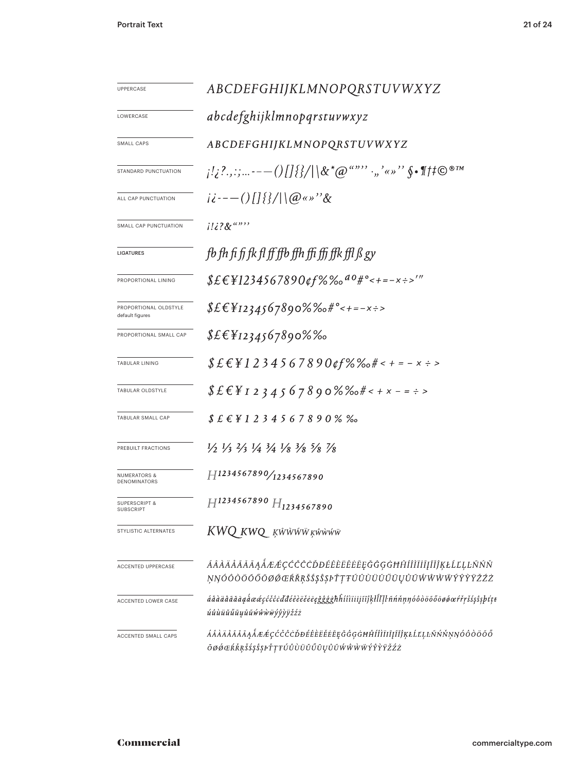| <b>UPPERCASE</b>                             | ABCDEFGHIJKLMNOPQRSTUVWXYZ                                                                                                    |  |  |
|----------------------------------------------|-------------------------------------------------------------------------------------------------------------------------------|--|--|
| LOWERCASE                                    | abcdefghijklmnopqrstuvwxyz                                                                                                    |  |  |
| SMALL CAPS                                   | ABCDEFGHIJKLMNOPQRSTUVWXYZ                                                                                                    |  |  |
| STANDARD PUNCTUATION                         |                                                                                                                               |  |  |
| ALL CAP PUNCTUATION                          | $i \dot{\epsilon}$ ---()[] {}/ \@«»" &                                                                                        |  |  |
| SMALL CAP PUNCTUATION                        | $1!i?8$ $\overset{a}{\cdots}$                                                                                                 |  |  |
| <b>LIGATURES</b>                             | fb fh fi fj fk fl ff ffb ffh ffi ffj ffk ffl JS gy                                                                            |  |  |
| PROPORTIONAL LINING                          | $$EEY1234567890$ of %% $^{d0}$ #° < + = - x ÷ >'"                                                                             |  |  |
| PROPORTIONAL OLDSTYLE<br>default figures     | $$EEY$ 1234567890%‰#°<+=-x÷>                                                                                                  |  |  |
| PROPORTIONAL SMALL CAP                       | $$EEY$ 1234567890%‰                                                                                                           |  |  |
| TABULAR LINING                               | $$E E Y 1 2 3 4 5 6 7 8 9 0 \text{ g} f \% \text{% of } t \text{ is } -x \text{ is } 5$                                       |  |  |
| TABULAR OLDSTYLE                             | $$E \&F 1 2 3 4 5 6 7 8 9 0 \%$ (http://edg.com/statestand-community/sections)                                                |  |  |
| TABULAR SMALL CAP                            | $$E$ $E$ $E$ $I$ $1$ $2$ $3$ $4$ $5$ $6$ $7$ $8$ $9$ $0$ % %                                                                  |  |  |
| PREBUILT FRACTIONS                           | $\frac{1}{2}$ $\frac{1}{3}$ $\frac{2}{3}$ $\frac{1}{4}$ $\frac{3}{4}$ $\frac{1}{8}$ $\frac{3}{8}$ $\frac{5}{8}$ $\frac{7}{8}$ |  |  |
| <b>NUMERATORS &amp;</b><br>DENOMINATORS      | $H^{1234567890}/_{1234567890}$                                                                                                |  |  |
| <b>SUPERSCRIPT &amp;</b><br><b>SUBSCRIPT</b> | $H^{1234567890}H_{1234567890}$                                                                                                |  |  |
| STYLISTIC ALTERNATES                         | KWQ KWQ KŴŴŴW KŴŴŴŴ                                                                                                           |  |  |
| <b>ACCENTED UPPERCASE</b>                    | ÁÂÀÄÅÃĂĀĄÅÆÆÇĆČĈÒĐÉÊÈËĖĒĘĞĜĢĠĦĤÍÎÌÏĬĬĬĬĬĶŁĹĽĻĿÑŃŇ<br>ŅŊÓÔŎÖŐŐŌØØŒŔŘŖŠŚŞŜŞÞŤŢŦÚÛÙŬŬŰŨŲŮŨŴŴŴŴŶŶŶŸŽŹŻ                            |  |  |
| ACCENTED LOWER CASE                          | áâàäåãăāąåææçćčĉċďđéêèëěeēgğĝģġħĥíîìïïījĩĭĵķłĺľḷŀñńňṇŋóôòöőőōøœŕřŗšśşŝşþtṭŧ<br>úûùüŭűūyůũŵŵŵŵýŷỳëźż                           |  |  |
| ACCENTED SMALL CAPS                          | ÁÂÀÄÄÃÃĀĄÅÆÆÇĆČĈĊĎĐÉÊÈËËĒĒĘĞĜĢĠĦĤÍÎÌÏIĮĨĬĴĶŁĹĽĻĿÑŃŇŅŊÓÔÒÖŐŐ<br>ŌØŐŒŔŘŖŠŚŞŜŞÞŤŢŦÚÛÙÜŬŰŪŲŮŨŴŴŴŴÝŶŶŸŽŹŻ                          |  |  |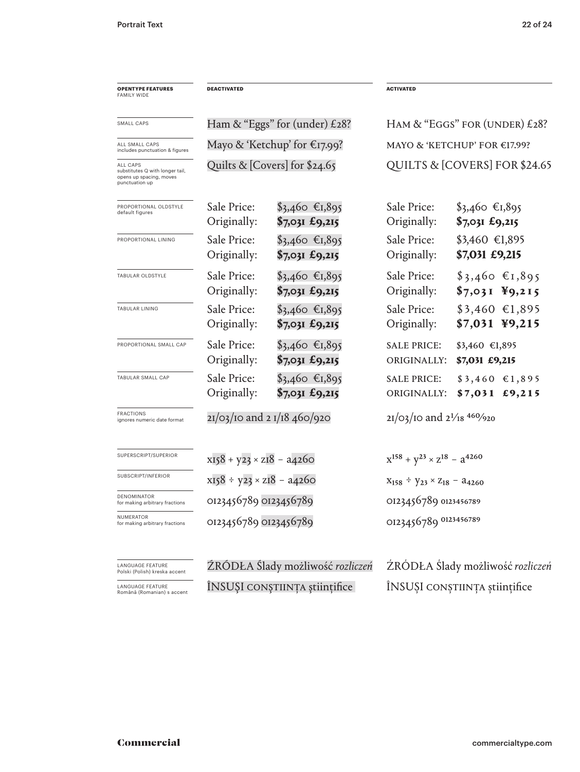| <b>OPENTYPE FEATURES</b><br><b>FAMILY WIDE</b>                                           | <b>DEACTIVATED</b>                 |                                   | <b>ACTIVATED</b>                                |                                    |  |
|------------------------------------------------------------------------------------------|------------------------------------|-----------------------------------|-------------------------------------------------|------------------------------------|--|
| SMALL CAPS                                                                               | Ham & "Eggs" for (under) £28?      |                                   | HAM & "EGGS" FOR (UNDER) $£28$ ?                |                                    |  |
| ALL SMALL CAPS<br>includes punctuation & figures                                         | Mayo & 'Ketchup' for €17.99?       |                                   | MAYO & 'KETCHUP' FOR €17.99?                    |                                    |  |
| ALL CAPS<br>substitutes Q with longer tail,<br>opens up spacing, moves<br>punctuation up | Quilts & [Covers] for \$24.65      |                                   |                                                 | QUILTS & [COVERS] FOR \$24.65      |  |
| PROPORTIONAL OLDSTYLE<br>default figures                                                 | Sale Price:<br>Originally:         | $$3,460$ €1,895<br>\$7,031 £9,215 | Sale Price:<br>Originally:                      | $$3,460$ €1,895<br>$$7,031$ £9,215 |  |
| PROPORTIONAL LINING                                                                      | Sale Price:<br>Originally:         | $$3,460$ €1,895<br>\$7,031 £9,215 | Sale Price:<br>Originally:                      | $$3,460$ €1,895<br>\$7,031 £9,215  |  |
| TABULAR OLDSTYLE                                                                         | Sale Price:<br>Originally:         | $$3,460$ €1,895<br>\$7,031 £9,215 | Sale Price:<br>Originally:                      | $$3,460$ €1,895<br>$$7,031$ ¥9,215 |  |
| <b>TABULAR LINING</b>                                                                    | Sale Price:<br>Originally:         | $$3,460$ €1,895<br>\$7,031 £9,215 | Sale Price:<br>Originally:                      | $$3,460$ €1,895<br>\$7,031 ¥9,215  |  |
| PROPORTIONAL SMALL CAP                                                                   | Sale Price:<br>Originally:         | $$3,460$ €1,895<br>\$7,031 £9,215 | <b>SALE PRICE:</b><br>ORIGINALLY:               | \$3,460 €1,895<br>\$7,031 £9,215   |  |
| TABULAR SMALL CAP                                                                        | Sale Price:<br>Originally:         | $$3,460$ €1,895<br>\$7,031 £9,215 | <b>SALE PRICE:</b><br>ORIGINALLY:               | $$3,460$ €1,895<br>$$7,031$ £9,215 |  |
| <b>FRACTIONS</b><br>ignores numeric date format                                          | 21/03/10 and 2 1/18 460/920        |                                   | $21/03/10$ and $2^{1/18}$ 460/920               |                                    |  |
| SUPERSCRIPT/SUPERIOR                                                                     | $x158 + y23 \times z18 - a4260$    |                                   | $x^{158} + y^{23} \times z^{18} - a^{4260}$     |                                    |  |
| SUBSCRIPT/INFERIOR                                                                       | $x158 \div y23 \times z18 - a4260$ |                                   | $X_{158}$ ÷ $Y_{23} \times Z_{18}$ – $a_{4260}$ |                                    |  |
| DENOMINATOR<br>for making arbitrary fractions                                            |                                    | 0123456789 0123456789             |                                                 | 0123456789 0123456789              |  |
| NUMERATOR<br>for making arbitrary fractions                                              | 0123456789 0123456789              |                                   | 0123456789 0123456789                           |                                    |  |
| LANGUAGE FEATURE<br>Polski (Polish) kreska accent                                        | ZRÓDŁA Slady możliwość rozliczeń   |                                   |                                                 | ŻRÓDŁA Ślady możliwość rozliczeń   |  |

LANGUAGE FEATURE Română (Romanian) s accent

ÎNSUŞI conştiința științifice

ÎNSUȘI conștiința științifice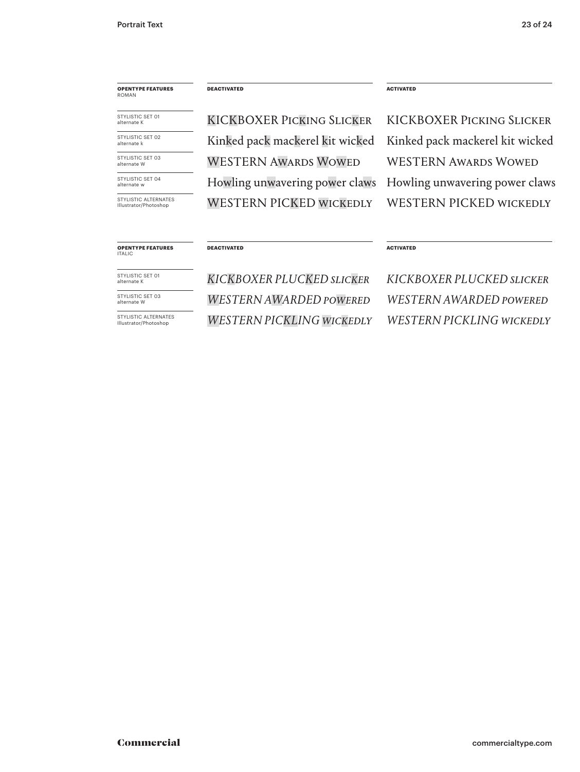## **OPENTYPE FEATURES** ROMAN

STYLISTIC SET 01 alternate K STYLISTIC SET 02

STYLISTIC SET 03 alternate W alternate k

STYLISTIC SFT 04 alternate

STYLISTIC ALTERNATES Illustrator/Photoshop

**DEACTIVATED**

**DEACTIVATED**

KICKBOXER Picking Slicker WESTERN Awards Wowed Kinked pack mackerel kit wicked Howling unwavering power claws WESTERN PICKED WICKEDLY

**ACTIVATED**

**ACTIVATED**

KICKBOXER Picking Slicker WESTERN Awards Wowed Kinked pack mackerel kit wicked Howling unwavering power claws WESTERN PICKED WICKEDLY

#### **OPENTYPE FEATURES**

STYLISTIC SET 01 alternate K

ITALIC

STYLISTIC SET 03 alternate W

STYLISTIC ALTERNATES Illustrator/Photoshop

*KICKBOXER PLUCKED Slicker WESTERN AWARDED PowERed WESTERN PICKLING WICKEDLY* *KICKBOXER PLUCKED Slicker WESTERN AWARDED POWERED WESTERN PICKLING WICKEDLY*